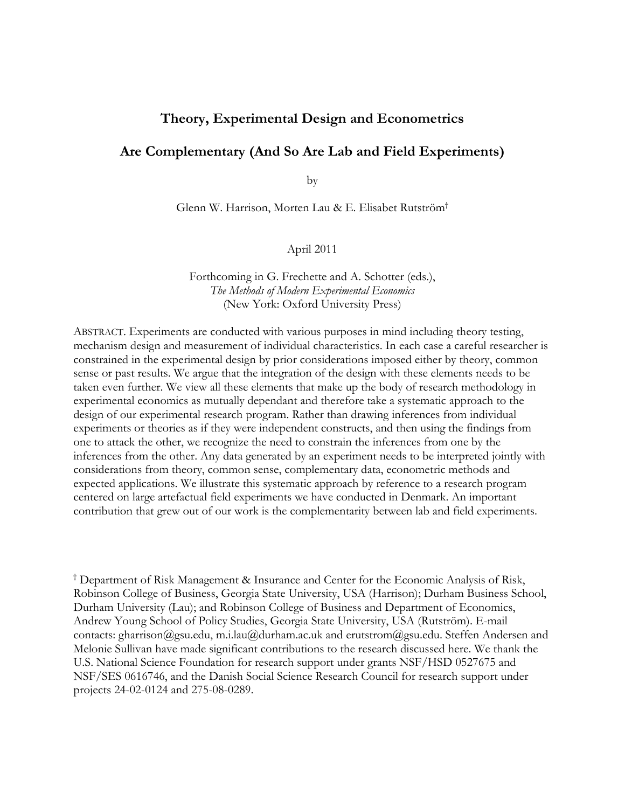# **Theory, Experimental Design and Econometrics**

# **Are Complementary (And So Are Lab and Field Experiments)**

by

Glenn W. Harrison, Morten Lau & E. Elisabet Rutström†

April 2011

Forthcoming in G. Frechette and A. Schotter (eds.), *The Methods of Modern Experimental Economics* (New York: Oxford University Press)

ABSTRACT. Experiments are conducted with various purposes in mind including theory testing, mechanism design and measurement of individual characteristics. In each case a careful researcher is constrained in the experimental design by prior considerations imposed either by theory, common sense or past results. We argue that the integration of the design with these elements needs to be taken even further. We view all these elements that make up the body of research methodology in experimental economics as mutually dependant and therefore take a systematic approach to the design of our experimental research program. Rather than drawing inferences from individual experiments or theories as if they were independent constructs, and then using the findings from one to attack the other, we recognize the need to constrain the inferences from one by the inferences from the other. Any data generated by an experiment needs to be interpreted jointly with considerations from theory, common sense, complementary data, econometric methods and expected applications. We illustrate this systematic approach by reference to a research program centered on large artefactual field experiments we have conducted in Denmark. An important contribution that grew out of our work is the complementarity between lab and field experiments.

† Department of Risk Management & Insurance and Center for the Economic Analysis of Risk, Robinson College of Business, Georgia State University, USA (Harrison); Durham Business School, Durham University (Lau); and Robinson College of Business and Department of Economics, Andrew Young School of Policy Studies, Georgia State University, USA (Rutström). E-mail contacts: gharrison@gsu.edu, m.i.lau@durham.ac.uk and erutstrom@gsu.edu. Steffen Andersen and Melonie Sullivan have made significant contributions to the research discussed here. We thank the U.S. National Science Foundation for research support under grants NSF/HSD 0527675 and NSF/SES 0616746, and the Danish Social Science Research Council for research support under projects 24-02-0124 and 275-08-0289.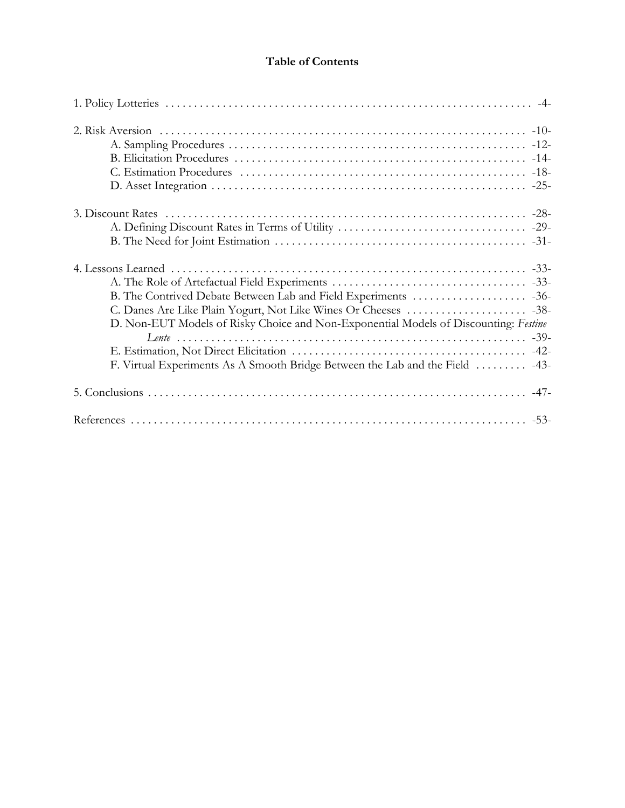# **Table of Contents**

| D. Non-EUT Models of Risky Choice and Non-Exponential Models of Discounting: Festine |
|--------------------------------------------------------------------------------------|
|                                                                                      |
|                                                                                      |
| F. Virtual Experiments As A Smooth Bridge Between the Lab and the Field  -43-        |
|                                                                                      |
|                                                                                      |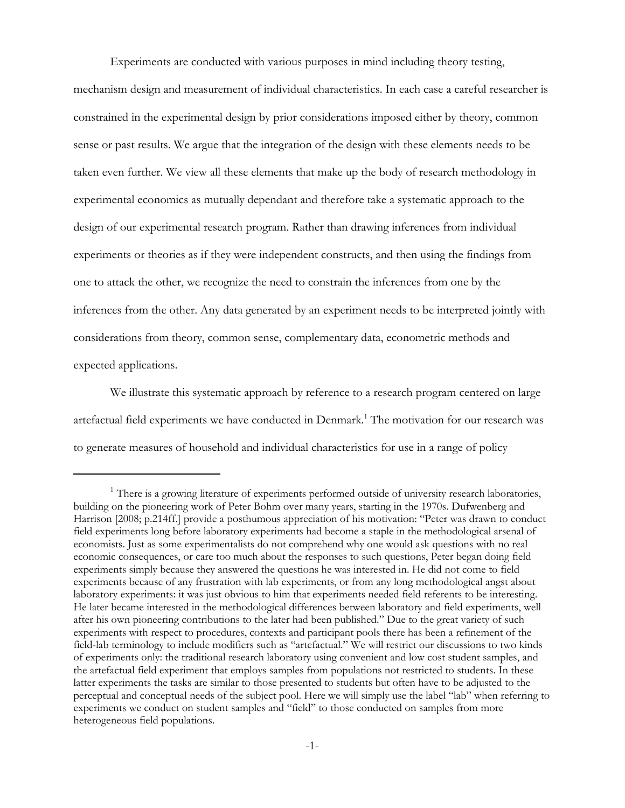Experiments are conducted with various purposes in mind including theory testing, mechanism design and measurement of individual characteristics. In each case a careful researcher is constrained in the experimental design by prior considerations imposed either by theory, common sense or past results. We argue that the integration of the design with these elements needs to be taken even further. We view all these elements that make up the body of research methodology in experimental economics as mutually dependant and therefore take a systematic approach to the design of our experimental research program. Rather than drawing inferences from individual experiments or theories as if they were independent constructs, and then using the findings from one to attack the other, we recognize the need to constrain the inferences from one by the inferences from the other. Any data generated by an experiment needs to be interpreted jointly with considerations from theory, common sense, complementary data, econometric methods and expected applications.

We illustrate this systematic approach by reference to a research program centered on large artefactual field experiments we have conducted in Denmark.<sup>1</sup> The motivation for our research was to generate measures of household and individual characteristics for use in a range of policy

<sup>&</sup>lt;sup>1</sup> There is a growing literature of experiments performed outside of university research laboratories, building on the pioneering work of Peter Bohm over many years, starting in the 1970s. Dufwenberg and Harrison [2008; p.214ff.] provide a posthumous appreciation of his motivation: "Peter was drawn to conduct field experiments long before laboratory experiments had become a staple in the methodological arsenal of economists. Just as some experimentalists do not comprehend why one would ask questions with no real economic consequences, or care too much about the responses to such questions, Peter began doing field experiments simply because they answered the questions he was interested in. He did not come to field experiments because of any frustration with lab experiments, or from any long methodological angst about laboratory experiments: it was just obvious to him that experiments needed field referents to be interesting. He later became interested in the methodological differences between laboratory and field experiments, well after his own pioneering contributions to the later had been published." Due to the great variety of such experiments with respect to procedures, contexts and participant pools there has been a refinement of the field-lab terminology to include modifiers such as "artefactual." We will restrict our discussions to two kinds of experiments only: the traditional research laboratory using convenient and low cost student samples, and the artefactual field experiment that employs samples from populations not restricted to students. In these latter experiments the tasks are similar to those presented to students but often have to be adjusted to the perceptual and conceptual needs of the subject pool. Here we will simply use the label "lab" when referring to experiments we conduct on student samples and "field" to those conducted on samples from more heterogeneous field populations.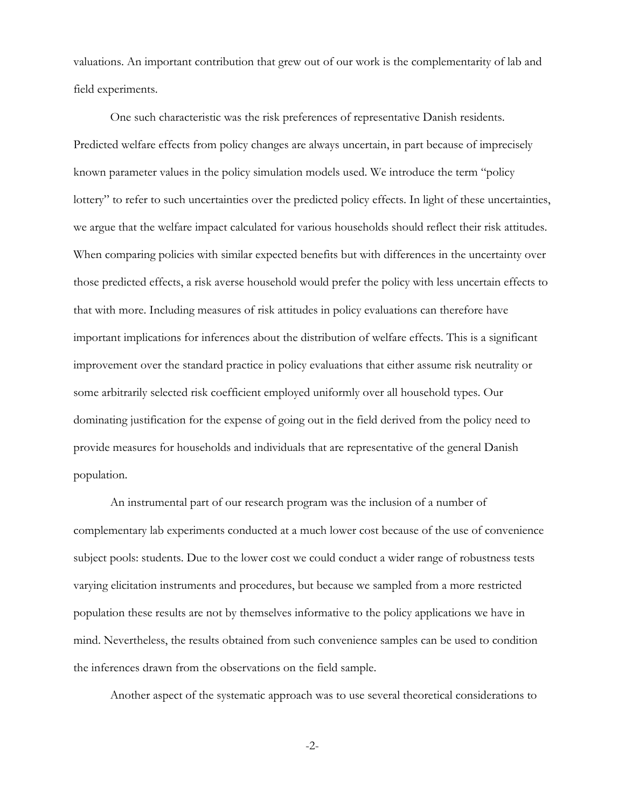valuations. An important contribution that grew out of our work is the complementarity of lab and field experiments.

One such characteristic was the risk preferences of representative Danish residents. Predicted welfare effects from policy changes are always uncertain, in part because of imprecisely known parameter values in the policy simulation models used. We introduce the term "policy lottery" to refer to such uncertainties over the predicted policy effects. In light of these uncertainties, we argue that the welfare impact calculated for various households should reflect their risk attitudes. When comparing policies with similar expected benefits but with differences in the uncertainty over those predicted effects, a risk averse household would prefer the policy with less uncertain effects to that with more. Including measures of risk attitudes in policy evaluations can therefore have important implications for inferences about the distribution of welfare effects. This is a significant improvement over the standard practice in policy evaluations that either assume risk neutrality or some arbitrarily selected risk coefficient employed uniformly over all household types. Our dominating justification for the expense of going out in the field derived from the policy need to provide measures for households and individuals that are representative of the general Danish population.

An instrumental part of our research program was the inclusion of a number of complementary lab experiments conducted at a much lower cost because of the use of convenience subject pools: students. Due to the lower cost we could conduct a wider range of robustness tests varying elicitation instruments and procedures, but because we sampled from a more restricted population these results are not by themselves informative to the policy applications we have in mind. Nevertheless, the results obtained from such convenience samples can be used to condition the inferences drawn from the observations on the field sample.

Another aspect of the systematic approach was to use several theoretical considerations to

-2-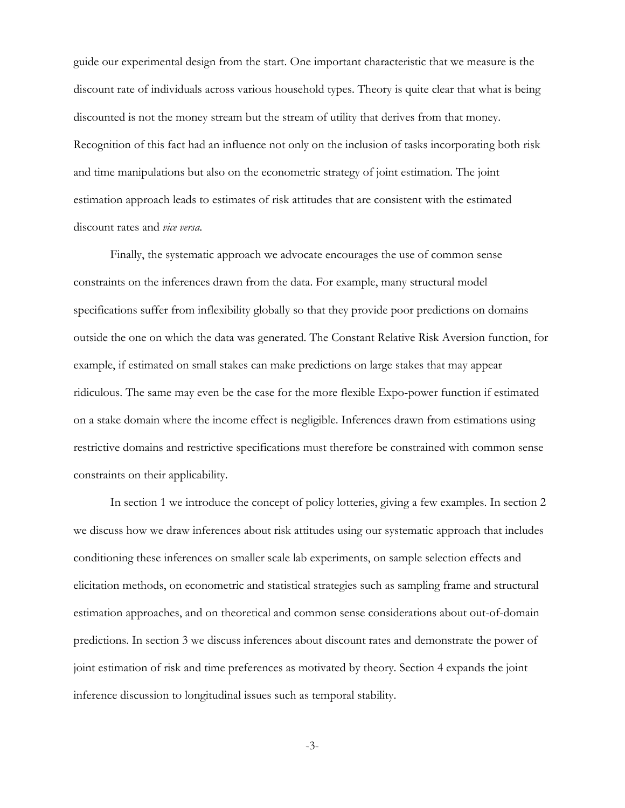guide our experimental design from the start. One important characteristic that we measure is the discount rate of individuals across various household types. Theory is quite clear that what is being discounted is not the money stream but the stream of utility that derives from that money. Recognition of this fact had an influence not only on the inclusion of tasks incorporating both risk and time manipulations but also on the econometric strategy of joint estimation. The joint estimation approach leads to estimates of risk attitudes that are consistent with the estimated discount rates and *vice versa*.

Finally, the systematic approach we advocate encourages the use of common sense constraints on the inferences drawn from the data. For example, many structural model specifications suffer from inflexibility globally so that they provide poor predictions on domains outside the one on which the data was generated. The Constant Relative Risk Aversion function, for example, if estimated on small stakes can make predictions on large stakes that may appear ridiculous. The same may even be the case for the more flexible Expo-power function if estimated on a stake domain where the income effect is negligible. Inferences drawn from estimations using restrictive domains and restrictive specifications must therefore be constrained with common sense constraints on their applicability.

In section 1 we introduce the concept of policy lotteries, giving a few examples. In section 2 we discuss how we draw inferences about risk attitudes using our systematic approach that includes conditioning these inferences on smaller scale lab experiments, on sample selection effects and elicitation methods, on econometric and statistical strategies such as sampling frame and structural estimation approaches, and on theoretical and common sense considerations about out-of-domain predictions. In section 3 we discuss inferences about discount rates and demonstrate the power of joint estimation of risk and time preferences as motivated by theory. Section 4 expands the joint inference discussion to longitudinal issues such as temporal stability.

-3-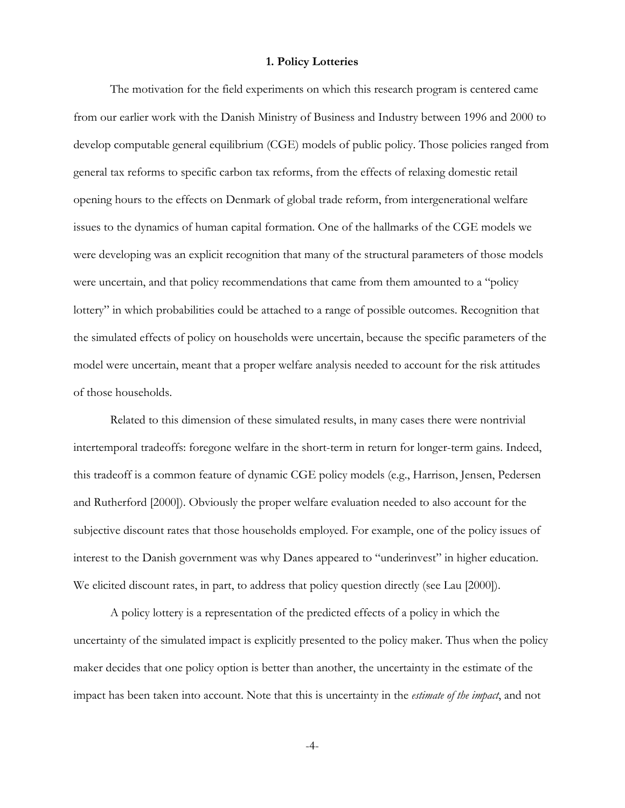#### **1. Policy Lotteries**

The motivation for the field experiments on which this research program is centered came from our earlier work with the Danish Ministry of Business and Industry between 1996 and 2000 to develop computable general equilibrium (CGE) models of public policy. Those policies ranged from general tax reforms to specific carbon tax reforms, from the effects of relaxing domestic retail opening hours to the effects on Denmark of global trade reform, from intergenerational welfare issues to the dynamics of human capital formation. One of the hallmarks of the CGE models we were developing was an explicit recognition that many of the structural parameters of those models were uncertain, and that policy recommendations that came from them amounted to a "policy lottery" in which probabilities could be attached to a range of possible outcomes. Recognition that the simulated effects of policy on households were uncertain, because the specific parameters of the model were uncertain, meant that a proper welfare analysis needed to account for the risk attitudes of those households.

Related to this dimension of these simulated results, in many cases there were nontrivial intertemporal tradeoffs: foregone welfare in the short-term in return for longer-term gains. Indeed, this tradeoff is a common feature of dynamic CGE policy models (e.g., Harrison, Jensen, Pedersen and Rutherford [2000]). Obviously the proper welfare evaluation needed to also account for the subjective discount rates that those households employed. For example, one of the policy issues of interest to the Danish government was why Danes appeared to "underinvest" in higher education. We elicited discount rates, in part, to address that policy question directly (see Lau [2000]).

A policy lottery is a representation of the predicted effects of a policy in which the uncertainty of the simulated impact is explicitly presented to the policy maker. Thus when the policy maker decides that one policy option is better than another, the uncertainty in the estimate of the impact has been taken into account. Note that this is uncertainty in the *estimate of the impact*, and not

-4-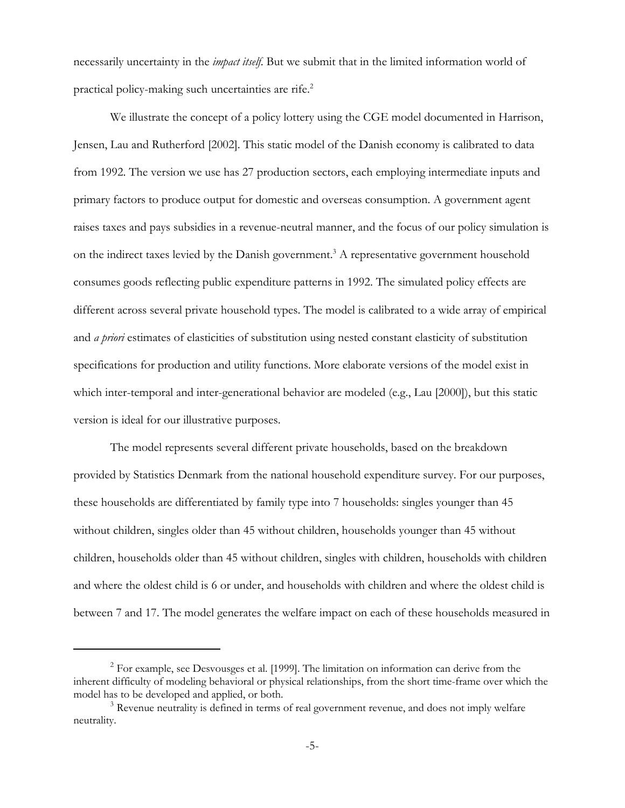necessarily uncertainty in the *impact itself*. But we submit that in the limited information world of practical policy-making such uncertainties are rife.<sup>2</sup>

We illustrate the concept of a policy lottery using the CGE model documented in Harrison, Jensen, Lau and Rutherford [2002]. This static model of the Danish economy is calibrated to data from 1992. The version we use has 27 production sectors, each employing intermediate inputs and primary factors to produce output for domestic and overseas consumption. A government agent raises taxes and pays subsidies in a revenue-neutral manner, and the focus of our policy simulation is on the indirect taxes levied by the Danish government.<sup>3</sup> A representative government household consumes goods reflecting public expenditure patterns in 1992. The simulated policy effects are different across several private household types. The model is calibrated to a wide array of empirical and *a priori* estimates of elasticities of substitution using nested constant elasticity of substitution specifications for production and utility functions. More elaborate versions of the model exist in which inter-temporal and inter-generational behavior are modeled (e.g., Lau [2000]), but this static version is ideal for our illustrative purposes.

The model represents several different private households, based on the breakdown provided by Statistics Denmark from the national household expenditure survey. For our purposes, these households are differentiated by family type into 7 households: singles younger than 45 without children, singles older than 45 without children, households younger than 45 without children, households older than 45 without children, singles with children, households with children and where the oldest child is 6 or under, and households with children and where the oldest child is between 7 and 17. The model generates the welfare impact on each of these households measured in

 $2$  For example, see Desvousges et al. [1999]. The limitation on information can derive from the inherent difficulty of modeling behavioral or physical relationships, from the short time-frame over which the model has to be developed and applied, or both.

<sup>&</sup>lt;sup>3</sup> Revenue neutrality is defined in terms of real government revenue, and does not imply welfare neutrality.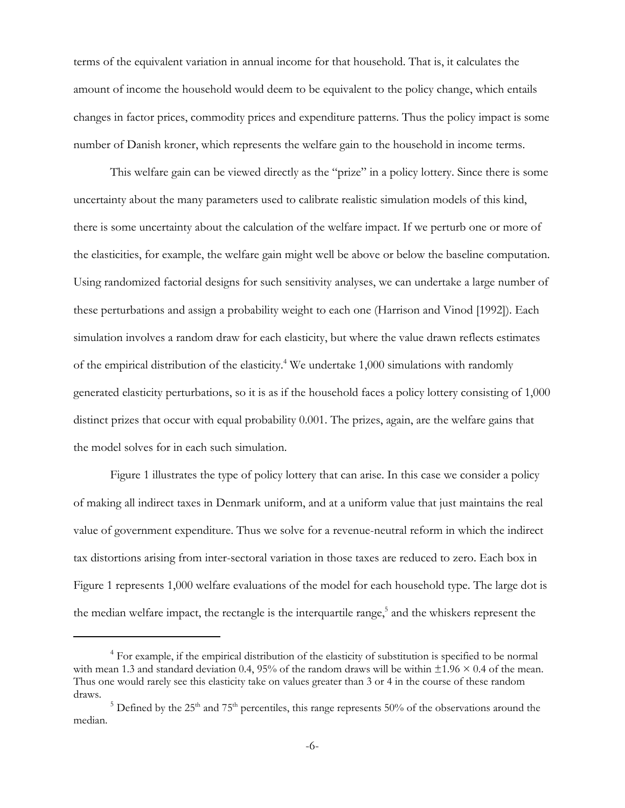terms of the equivalent variation in annual income for that household. That is, it calculates the amount of income the household would deem to be equivalent to the policy change, which entails changes in factor prices, commodity prices and expenditure patterns. Thus the policy impact is some number of Danish kroner, which represents the welfare gain to the household in income terms.

This welfare gain can be viewed directly as the "prize" in a policy lottery. Since there is some uncertainty about the many parameters used to calibrate realistic simulation models of this kind, there is some uncertainty about the calculation of the welfare impact. If we perturb one or more of the elasticities, for example, the welfare gain might well be above or below the baseline computation. Using randomized factorial designs for such sensitivity analyses, we can undertake a large number of these perturbations and assign a probability weight to each one (Harrison and Vinod [1992]). Each simulation involves a random draw for each elasticity, but where the value drawn reflects estimates of the empirical distribution of the elasticity.<sup>4</sup> We undertake 1,000 simulations with randomly generated elasticity perturbations, so it is as if the household faces a policy lottery consisting of 1,000 distinct prizes that occur with equal probability 0.001. The prizes, again, are the welfare gains that the model solves for in each such simulation.

Figure 1 illustrates the type of policy lottery that can arise. In this case we consider a policy of making all indirect taxes in Denmark uniform, and at a uniform value that just maintains the real value of government expenditure. Thus we solve for a revenue-neutral reform in which the indirect tax distortions arising from inter-sectoral variation in those taxes are reduced to zero. Each box in Figure 1 represents 1,000 welfare evaluations of the model for each household type. The large dot is the median welfare impact, the rectangle is the interquartile range,<sup>5</sup> and the whiskers represent the

<sup>&</sup>lt;sup>4</sup> For example, if the empirical distribution of the elasticity of substitution is specified to be normal with mean 1.3 and standard deviation 0.4, 95% of the random draws will be within  $\pm 1.96 \times 0.4$  of the mean. Thus one would rarely see this elasticity take on values greater than 3 or 4 in the course of these random draws.

<sup>&</sup>lt;sup>5</sup> Defined by the  $25<sup>th</sup>$  and  $75<sup>th</sup>$  percentiles, this range represents 50% of the observations around the median.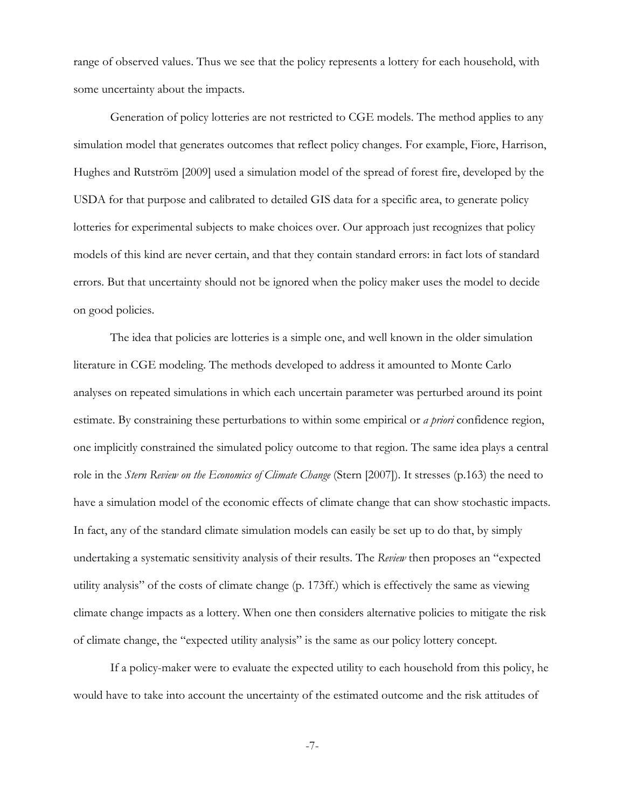range of observed values. Thus we see that the policy represents a lottery for each household, with some uncertainty about the impacts.

Generation of policy lotteries are not restricted to CGE models. The method applies to any simulation model that generates outcomes that reflect policy changes. For example, Fiore, Harrison, Hughes and Rutström [2009] used a simulation model of the spread of forest fire, developed by the USDA for that purpose and calibrated to detailed GIS data for a specific area, to generate policy lotteries for experimental subjects to make choices over. Our approach just recognizes that policy models of this kind are never certain, and that they contain standard errors: in fact lots of standard errors. But that uncertainty should not be ignored when the policy maker uses the model to decide on good policies.

The idea that policies are lotteries is a simple one, and well known in the older simulation literature in CGE modeling. The methods developed to address it amounted to Monte Carlo analyses on repeated simulations in which each uncertain parameter was perturbed around its point estimate. By constraining these perturbations to within some empirical or *a priori* confidence region, one implicitly constrained the simulated policy outcome to that region. The same idea plays a central role in the *Stern Review on the Economics of Climate Change* (Stern [2007]). It stresses (p.163) the need to have a simulation model of the economic effects of climate change that can show stochastic impacts. In fact, any of the standard climate simulation models can easily be set up to do that, by simply undertaking a systematic sensitivity analysis of their results. The *Review* then proposes an "expected utility analysis" of the costs of climate change (p. 173ff.) which is effectively the same as viewing climate change impacts as a lottery. When one then considers alternative policies to mitigate the risk of climate change, the "expected utility analysis" is the same as our policy lottery concept.

If a policy-maker were to evaluate the expected utility to each household from this policy, he would have to take into account the uncertainty of the estimated outcome and the risk attitudes of

-7-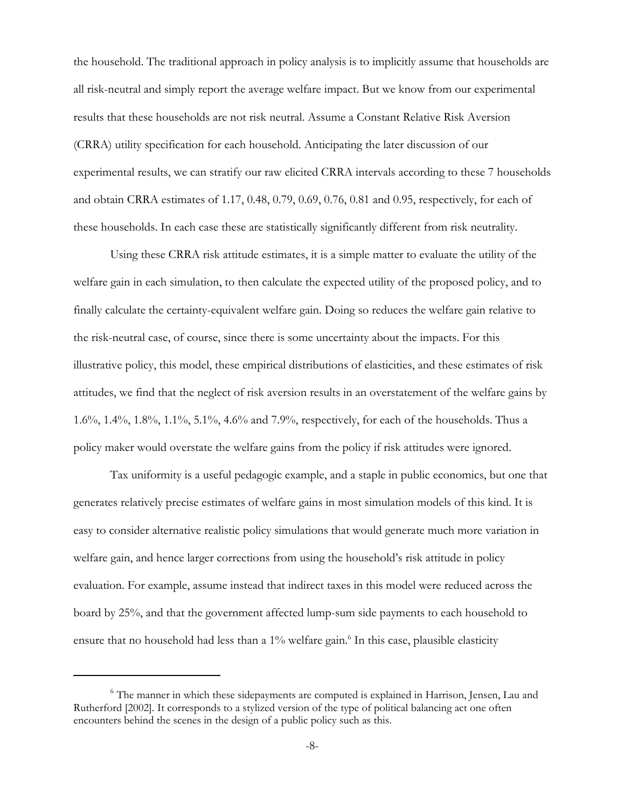the household. The traditional approach in policy analysis is to implicitly assume that households are all risk-neutral and simply report the average welfare impact. But we know from our experimental results that these households are not risk neutral. Assume a Constant Relative Risk Aversion (CRRA) utility specification for each household. Anticipating the later discussion of our experimental results, we can stratify our raw elicited CRRA intervals according to these 7 households and obtain CRRA estimates of 1.17, 0.48, 0.79, 0.69, 0.76, 0.81 and 0.95, respectively, for each of these households. In each case these are statistically significantly different from risk neutrality.

Using these CRRA risk attitude estimates, it is a simple matter to evaluate the utility of the welfare gain in each simulation, to then calculate the expected utility of the proposed policy, and to finally calculate the certainty-equivalent welfare gain. Doing so reduces the welfare gain relative to the risk-neutral case, of course, since there is some uncertainty about the impacts. For this illustrative policy, this model, these empirical distributions of elasticities, and these estimates of risk attitudes, we find that the neglect of risk aversion results in an overstatement of the welfare gains by 1.6%, 1.4%, 1.8%, 1.1%, 5.1%, 4.6% and 7.9%, respectively, for each of the households. Thus a policy maker would overstate the welfare gains from the policy if risk attitudes were ignored.

Tax uniformity is a useful pedagogic example, and a staple in public economics, but one that generates relatively precise estimates of welfare gains in most simulation models of this kind. It is easy to consider alternative realistic policy simulations that would generate much more variation in welfare gain, and hence larger corrections from using the household's risk attitude in policy evaluation. For example, assume instead that indirect taxes in this model were reduced across the board by 25%, and that the government affected lump-sum side payments to each household to ensure that no household had less than a 1% welfare gain.<sup>6</sup> In this case, plausible elasticity

<sup>&</sup>lt;sup>6</sup> The manner in which these sidepayments are computed is explained in Harrison, Jensen, Lau and Rutherford [2002]. It corresponds to a stylized version of the type of political balancing act one often encounters behind the scenes in the design of a public policy such as this.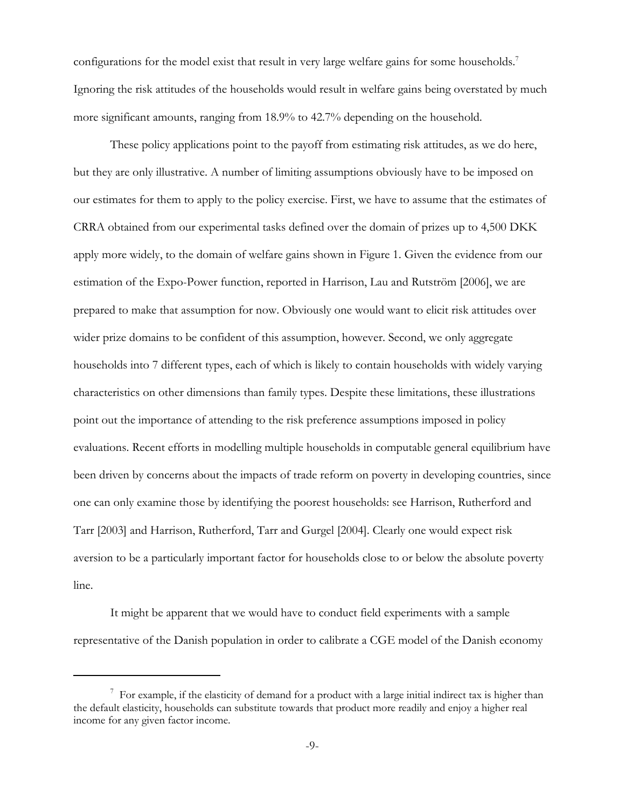configurations for the model exist that result in very large welfare gains for some households.<sup>7</sup> Ignoring the risk attitudes of the households would result in welfare gains being overstated by much more significant amounts, ranging from 18.9% to 42.7% depending on the household.

These policy applications point to the payoff from estimating risk attitudes, as we do here, but they are only illustrative. A number of limiting assumptions obviously have to be imposed on our estimates for them to apply to the policy exercise. First, we have to assume that the estimates of CRRA obtained from our experimental tasks defined over the domain of prizes up to 4,500 DKK apply more widely, to the domain of welfare gains shown in Figure 1. Given the evidence from our estimation of the Expo-Power function, reported in Harrison, Lau and Rutström [2006], we are prepared to make that assumption for now. Obviously one would want to elicit risk attitudes over wider prize domains to be confident of this assumption, however. Second, we only aggregate households into 7 different types, each of which is likely to contain households with widely varying characteristics on other dimensions than family types. Despite these limitations, these illustrations point out the importance of attending to the risk preference assumptions imposed in policy evaluations. Recent efforts in modelling multiple households in computable general equilibrium have been driven by concerns about the impacts of trade reform on poverty in developing countries, since one can only examine those by identifying the poorest households: see Harrison, Rutherford and Tarr [2003] and Harrison, Rutherford, Tarr and Gurgel [2004]. Clearly one would expect risk aversion to be a particularly important factor for households close to or below the absolute poverty line.

It might be apparent that we would have to conduct field experiments with a sample representative of the Danish population in order to calibrate a CGE model of the Danish economy

 $7$  For example, if the elasticity of demand for a product with a large initial indirect tax is higher than the default elasticity, households can substitute towards that product more readily and enjoy a higher real income for any given factor income.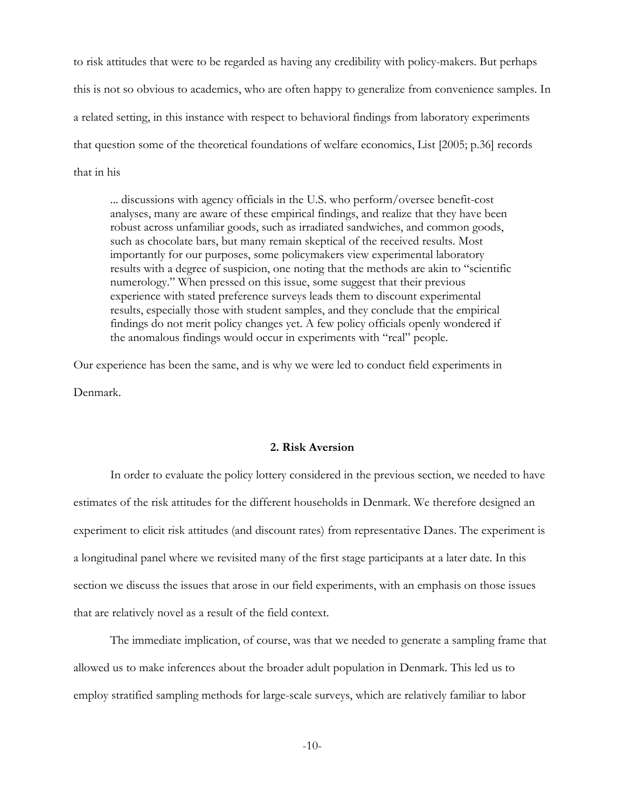to risk attitudes that were to be regarded as having any credibility with policy-makers. But perhaps this is not so obvious to academics, who are often happy to generalize from convenience samples. In a related setting, in this instance with respect to behavioral findings from laboratory experiments that question some of the theoretical foundations of welfare economics, List [2005; p.36] records that in his

... discussions with agency officials in the U.S. who perform/oversee benefit-cost analyses, many are aware of these empirical findings, and realize that they have been robust across unfamiliar goods, such as irradiated sandwiches, and common goods, such as chocolate bars, but many remain skeptical of the received results. Most importantly for our purposes, some policymakers view experimental laboratory results with a degree of suspicion, one noting that the methods are akin to "scientific numerology." When pressed on this issue, some suggest that their previous experience with stated preference surveys leads them to discount experimental results, especially those with student samples, and they conclude that the empirical findings do not merit policy changes yet. A few policy officials openly wondered if the anomalous findings would occur in experiments with "real" people.

Our experience has been the same, and is why we were led to conduct field experiments in Denmark.

### **2. Risk Aversion**

In order to evaluate the policy lottery considered in the previous section, we needed to have estimates of the risk attitudes for the different households in Denmark. We therefore designed an experiment to elicit risk attitudes (and discount rates) from representative Danes. The experiment is a longitudinal panel where we revisited many of the first stage participants at a later date. In this section we discuss the issues that arose in our field experiments, with an emphasis on those issues that are relatively novel as a result of the field context.

The immediate implication, of course, was that we needed to generate a sampling frame that allowed us to make inferences about the broader adult population in Denmark. This led us to employ stratified sampling methods for large-scale surveys, which are relatively familiar to labor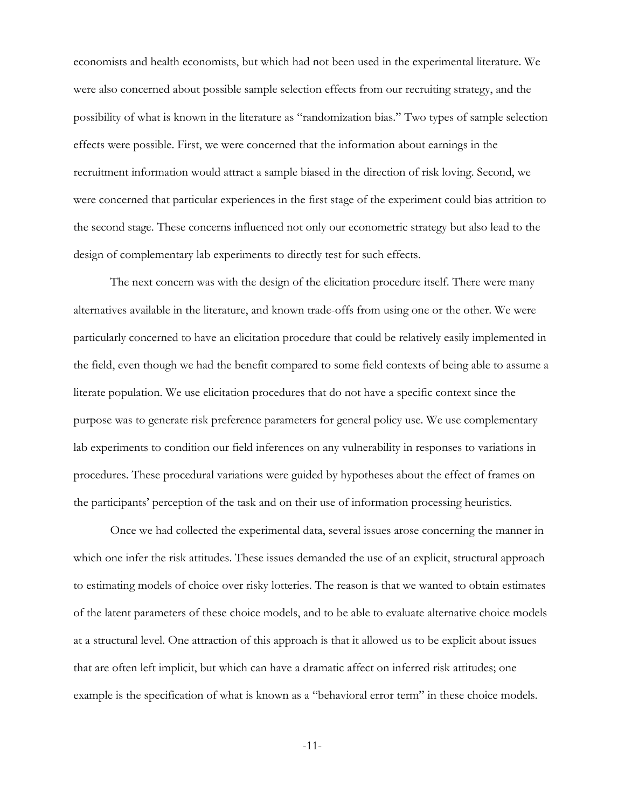economists and health economists, but which had not been used in the experimental literature. We were also concerned about possible sample selection effects from our recruiting strategy, and the possibility of what is known in the literature as "randomization bias." Two types of sample selection effects were possible. First, we were concerned that the information about earnings in the recruitment information would attract a sample biased in the direction of risk loving. Second, we were concerned that particular experiences in the first stage of the experiment could bias attrition to the second stage. These concerns influenced not only our econometric strategy but also lead to the design of complementary lab experiments to directly test for such effects.

The next concern was with the design of the elicitation procedure itself. There were many alternatives available in the literature, and known trade-offs from using one or the other. We were particularly concerned to have an elicitation procedure that could be relatively easily implemented in the field, even though we had the benefit compared to some field contexts of being able to assume a literate population. We use elicitation procedures that do not have a specific context since the purpose was to generate risk preference parameters for general policy use. We use complementary lab experiments to condition our field inferences on any vulnerability in responses to variations in procedures. These procedural variations were guided by hypotheses about the effect of frames on the participants' perception of the task and on their use of information processing heuristics.

Once we had collected the experimental data, several issues arose concerning the manner in which one infer the risk attitudes. These issues demanded the use of an explicit, structural approach to estimating models of choice over risky lotteries. The reason is that we wanted to obtain estimates of the latent parameters of these choice models, and to be able to evaluate alternative choice models at a structural level. One attraction of this approach is that it allowed us to be explicit about issues that are often left implicit, but which can have a dramatic affect on inferred risk attitudes; one example is the specification of what is known as a "behavioral error term" in these choice models.

-11-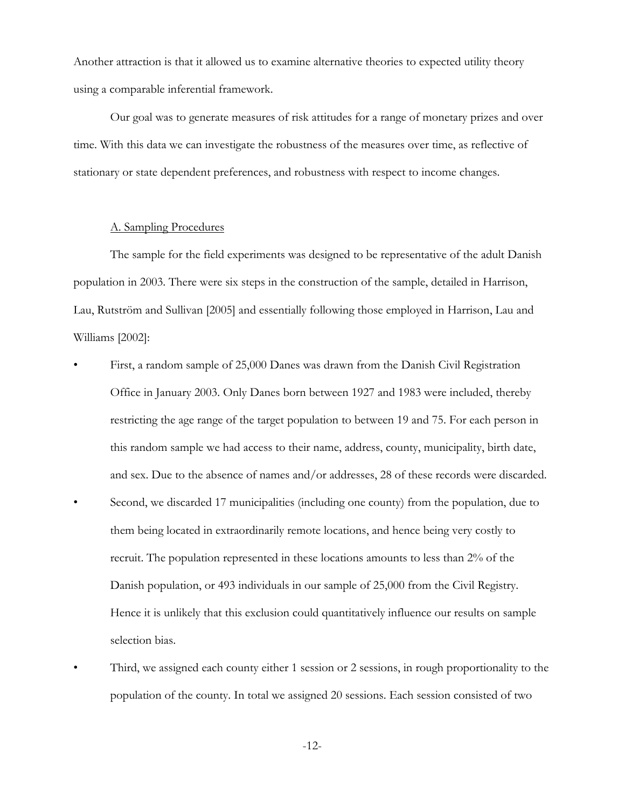Another attraction is that it allowed us to examine alternative theories to expected utility theory using a comparable inferential framework.

Our goal was to generate measures of risk attitudes for a range of monetary prizes and over time. With this data we can investigate the robustness of the measures over time, as reflective of stationary or state dependent preferences, and robustness with respect to income changes.

### A. Sampling Procedures

The sample for the field experiments was designed to be representative of the adult Danish population in 2003. There were six steps in the construction of the sample, detailed in Harrison, Lau, Rutström and Sullivan [2005] and essentially following those employed in Harrison, Lau and Williams [2002]:

- First, a random sample of 25,000 Danes was drawn from the Danish Civil Registration Office in January 2003. Only Danes born between 1927 and 1983 were included, thereby restricting the age range of the target population to between 19 and 75. For each person in this random sample we had access to their name, address, county, municipality, birth date, and sex. Due to the absence of names and/or addresses, 28 of these records were discarded. • Second, we discarded 17 municipalities (including one county) from the population, due to them being located in extraordinarily remote locations, and hence being very costly to recruit. The population represented in these locations amounts to less than 2% of the Danish population, or 493 individuals in our sample of 25,000 from the Civil Registry. Hence it is unlikely that this exclusion could quantitatively influence our results on sample selection bias.
- Third, we assigned each county either 1 session or 2 sessions, in rough proportionality to the population of the county. In total we assigned 20 sessions. Each session consisted of two

-12-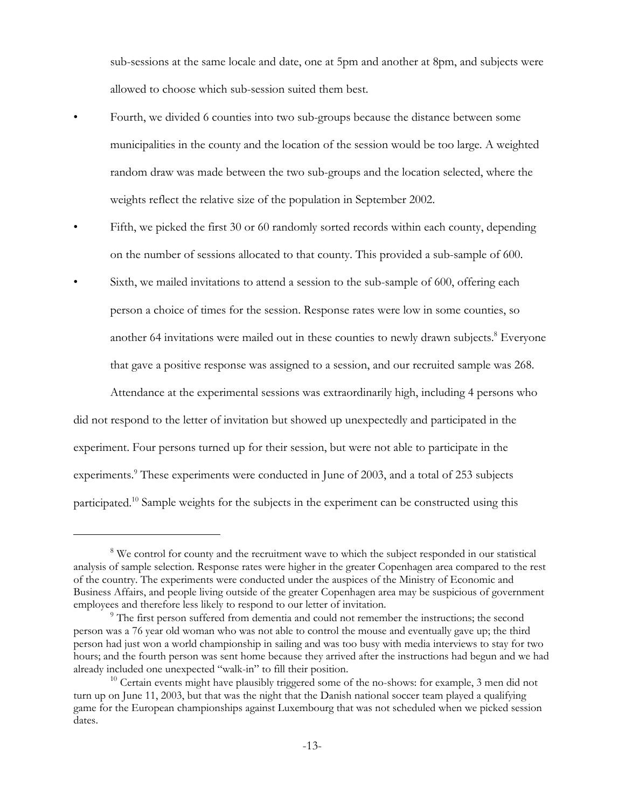sub-sessions at the same locale and date, one at 5pm and another at 8pm, and subjects were allowed to choose which sub-session suited them best.

- Fourth, we divided 6 counties into two sub-groups because the distance between some municipalities in the county and the location of the session would be too large. A weighted random draw was made between the two sub-groups and the location selected, where the weights reflect the relative size of the population in September 2002.
- Fifth, we picked the first 30 or 60 randomly sorted records within each county, depending on the number of sessions allocated to that county. This provided a sub-sample of 600.
- Sixth, we mailed invitations to attend a session to the sub-sample of 600, offering each person a choice of times for the session. Response rates were low in some counties, so another 64 invitations were mailed out in these counties to newly drawn subjects.<sup>8</sup> Everyone that gave a positive response was assigned to a session, and our recruited sample was 268.

Attendance at the experimental sessions was extraordinarily high, including 4 persons who did not respond to the letter of invitation but showed up unexpectedly and participated in the experiment. Four persons turned up for their session, but were not able to participate in the experiments.<sup>9</sup> These experiments were conducted in June of 2003, and a total of 253 subjects participated.<sup>10</sup> Sample weights for the subjects in the experiment can be constructed using this

<sup>&</sup>lt;sup>8</sup> We control for county and the recruitment wave to which the subject responded in our statistical analysis of sample selection. Response rates were higher in the greater Copenhagen area compared to the rest of the country. The experiments were conducted under the auspices of the Ministry of Economic and Business Affairs, and people living outside of the greater Copenhagen area may be suspicious of government employees and therefore less likely to respond to our letter of invitation.

 $9$ <sup>9</sup> The first person suffered from dementia and could not remember the instructions; the second person was a 76 year old woman who was not able to control the mouse and eventually gave up; the third person had just won a world championship in sailing and was too busy with media interviews to stay for two hours; and the fourth person was sent home because they arrived after the instructions had begun and we had already included one unexpected "walk-in" to fill their position.

 $10$  Certain events might have plausibly triggered some of the no-shows: for example, 3 men did not turn up on June 11, 2003, but that was the night that the Danish national soccer team played a qualifying game for the European championships against Luxembourg that was not scheduled when we picked session dates.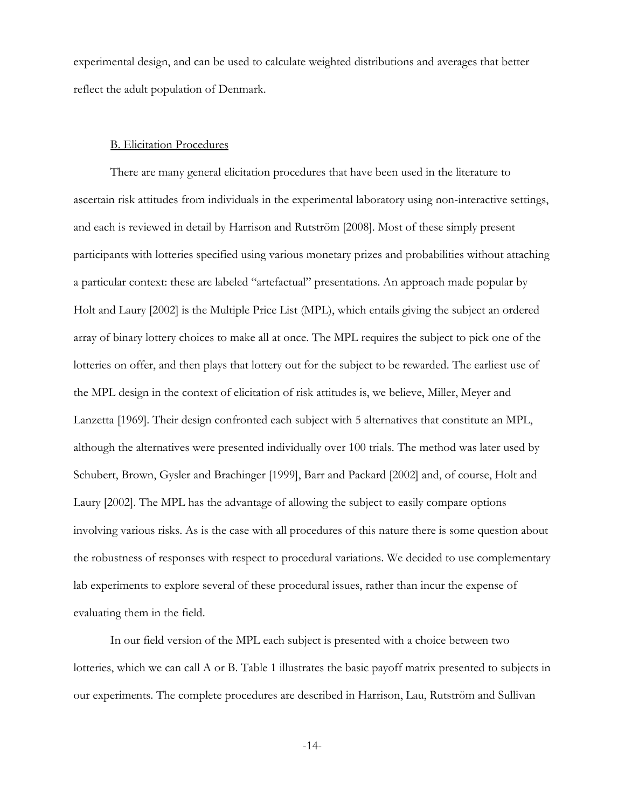experimental design, and can be used to calculate weighted distributions and averages that better reflect the adult population of Denmark.

### B. Elicitation Procedures

There are many general elicitation procedures that have been used in the literature to ascertain risk attitudes from individuals in the experimental laboratory using non-interactive settings, and each is reviewed in detail by Harrison and Rutström [2008]. Most of these simply present participants with lotteries specified using various monetary prizes and probabilities without attaching a particular context: these are labeled "artefactual" presentations. An approach made popular by Holt and Laury [2002] is the Multiple Price List (MPL), which entails giving the subject an ordered array of binary lottery choices to make all at once. The MPL requires the subject to pick one of the lotteries on offer, and then plays that lottery out for the subject to be rewarded. The earliest use of the MPL design in the context of elicitation of risk attitudes is, we believe, Miller, Meyer and Lanzetta [1969]. Their design confronted each subject with 5 alternatives that constitute an MPL, although the alternatives were presented individually over 100 trials. The method was later used by Schubert, Brown, Gysler and Brachinger [1999], Barr and Packard [2002] and, of course, Holt and Laury [2002]. The MPL has the advantage of allowing the subject to easily compare options involving various risks. As is the case with all procedures of this nature there is some question about the robustness of responses with respect to procedural variations. We decided to use complementary lab experiments to explore several of these procedural issues, rather than incur the expense of evaluating them in the field.

In our field version of the MPL each subject is presented with a choice between two lotteries, which we can call A or B. Table 1 illustrates the basic payoff matrix presented to subjects in our experiments. The complete procedures are described in Harrison, Lau, Rutström and Sullivan

-14-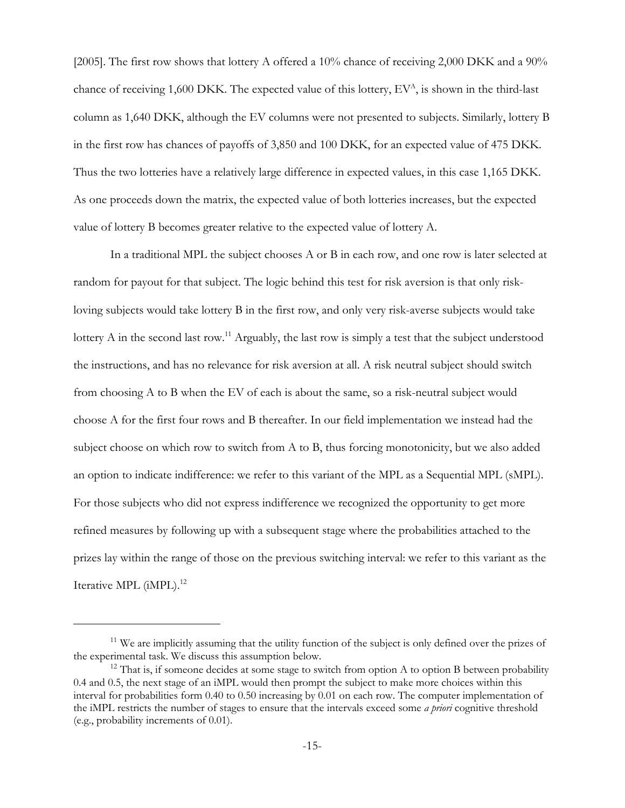[2005]. The first row shows that lottery A offered a 10% chance of receiving 2,000 DKK and a 90% chance of receiving 1,600 DKK. The expected value of this lottery,  $EV^A$ , is shown in the third-last column as 1,640 DKK, although the EV columns were not presented to subjects. Similarly, lottery B in the first row has chances of payoffs of 3,850 and 100 DKK, for an expected value of 475 DKK. Thus the two lotteries have a relatively large difference in expected values, in this case 1,165 DKK. As one proceeds down the matrix, the expected value of both lotteries increases, but the expected value of lottery B becomes greater relative to the expected value of lottery A.

In a traditional MPL the subject chooses A or B in each row, and one row is later selected at random for payout for that subject. The logic behind this test for risk aversion is that only riskloving subjects would take lottery B in the first row, and only very risk-averse subjects would take lottery A in the second last row.<sup>11</sup> Arguably, the last row is simply a test that the subject understood the instructions, and has no relevance for risk aversion at all. A risk neutral subject should switch from choosing A to B when the EV of each is about the same, so a risk-neutral subject would choose A for the first four rows and B thereafter. In our field implementation we instead had the subject choose on which row to switch from A to B, thus forcing monotonicity, but we also added an option to indicate indifference: we refer to this variant of the MPL as a Sequential MPL (sMPL). For those subjects who did not express indifference we recognized the opportunity to get more refined measures by following up with a subsequent stage where the probabilities attached to the prizes lay within the range of those on the previous switching interval: we refer to this variant as the Iterative MPL (iMPL).<sup>12</sup>

<sup>&</sup>lt;sup>11</sup> We are implicitly assuming that the utility function of the subject is only defined over the prizes of the experimental task. We discuss this assumption below.

<sup>&</sup>lt;sup>12</sup> That is, if someone decides at some stage to switch from option A to option B between probability 0.4 and 0.5, the next stage of an iMPL would then prompt the subject to make more choices within this interval for probabilities form 0.40 to 0.50 increasing by 0.01 on each row. The computer implementation of the iMPL restricts the number of stages to ensure that the intervals exceed some *a priori* cognitive threshold (e.g., probability increments of 0.01).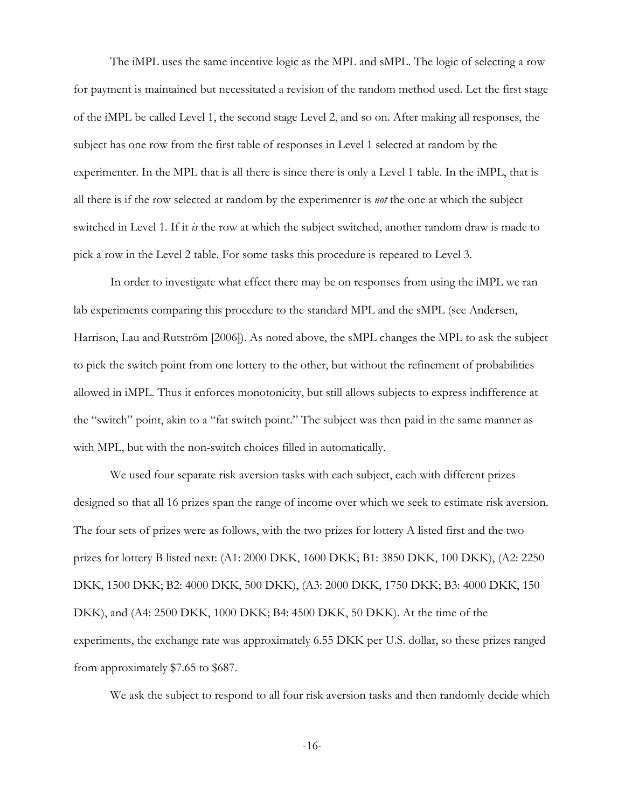The iMPL uses the same incentive logic as the MPL and sMPL. The logic of selecting a row for payment is maintained but necessitated a revision of the random method used. Let the first stage of the iMPL be called Level 1, the second stage Level 2, and so on. After making all responses, the subject has one row from the first table of responses in Level 1 selected at random by the experimenter. In the MPL that is all there is since there is only a Level 1 table. In the iMPL, that is all there is if the row selected at random by the experimenter is *not* the one at which the subject switched in Level 1. If it *is* the row at which the subject switched, another random draw is made to pick a row in the Level 2 table. For some tasks this procedure is repeated to Level 3.

In order to investigate what effect there may be on responses from using the iMPL we ran lab experiments comparing this procedure to the standard MPL and the sMPL (see Andersen, Harrison, Lau and Rutström [2006]). As noted above, the sMPL changes the MPL to ask the subject to pick the switch point from one lottery to the other, but without the refinement of probabilities allowed in iMPL. Thus it enforces monotonicity, but still allows subjects to express indifference at the "switch" point, akin to a "fat switch point." The subject was then paid in the same manner as with MPL, but with the non-switch choices filled in automatically.

We used four separate risk aversion tasks with each subject, each with different prizes designed so that all 16 prizes span the range of income over which we seek to estimate risk aversion. The four sets of prizes were as follows, with the two prizes for lottery A listed first and the two prizes for lottery B listed next: (A1: 2000 DKK, 1600 DKK; B1: 3850 DKK, 100 DKK), (A2: 2250 DKK, 1500 DKK; B2: 4000 DKK, 500 DKK), (A3: 2000 DKK, 1750 DKK; B3: 4000 DKK, 150 DKK), and (A4: 2500 DKK, 1000 DKK; B4: 4500 DKK, 50 DKK). At the time of the experiments, the exchange rate was approximately 6.55 DKK per U.S. dollar, so these prizes ranged from approximately \$7.65 to \$687.

We ask the subject to respond to all four risk aversion tasks and then randomly decide which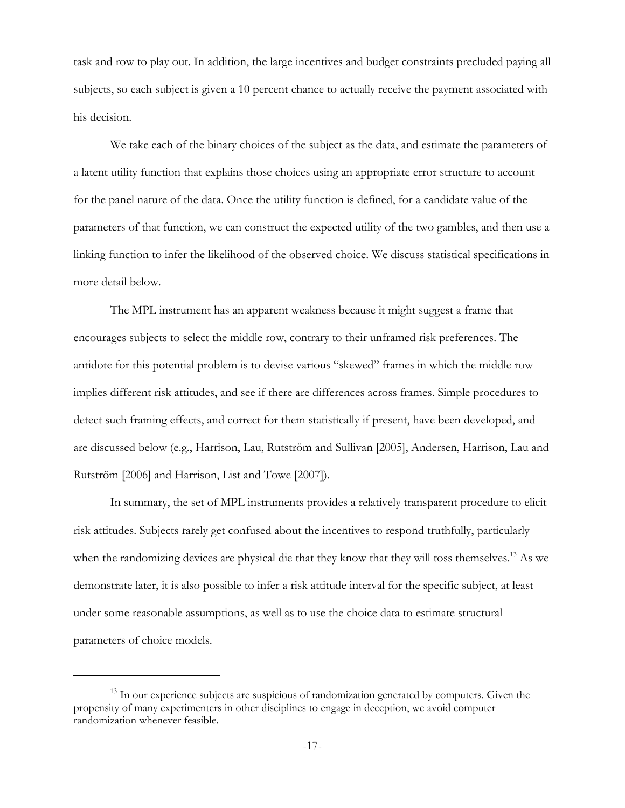task and row to play out. In addition, the large incentives and budget constraints precluded paying all subjects, so each subject is given a 10 percent chance to actually receive the payment associated with his decision.

We take each of the binary choices of the subject as the data, and estimate the parameters of a latent utility function that explains those choices using an appropriate error structure to account for the panel nature of the data. Once the utility function is defined, for a candidate value of the parameters of that function, we can construct the expected utility of the two gambles, and then use a linking function to infer the likelihood of the observed choice. We discuss statistical specifications in more detail below.

The MPL instrument has an apparent weakness because it might suggest a frame that encourages subjects to select the middle row, contrary to their unframed risk preferences. The antidote for this potential problem is to devise various "skewed" frames in which the middle row implies different risk attitudes, and see if there are differences across frames. Simple procedures to detect such framing effects, and correct for them statistically if present, have been developed, and are discussed below (e.g., Harrison, Lau, Rutström and Sullivan [2005], Andersen, Harrison, Lau and Rutström [2006] and Harrison, List and Towe [2007]).

In summary, the set of MPL instruments provides a relatively transparent procedure to elicit risk attitudes. Subjects rarely get confused about the incentives to respond truthfully, particularly when the randomizing devices are physical die that they know that they will toss themselves.<sup>13</sup> As we demonstrate later, it is also possible to infer a risk attitude interval for the specific subject, at least under some reasonable assumptions, as well as to use the choice data to estimate structural parameters of choice models.

 $13$  In our experience subjects are suspicious of randomization generated by computers. Given the propensity of many experimenters in other disciplines to engage in deception, we avoid computer randomization whenever feasible.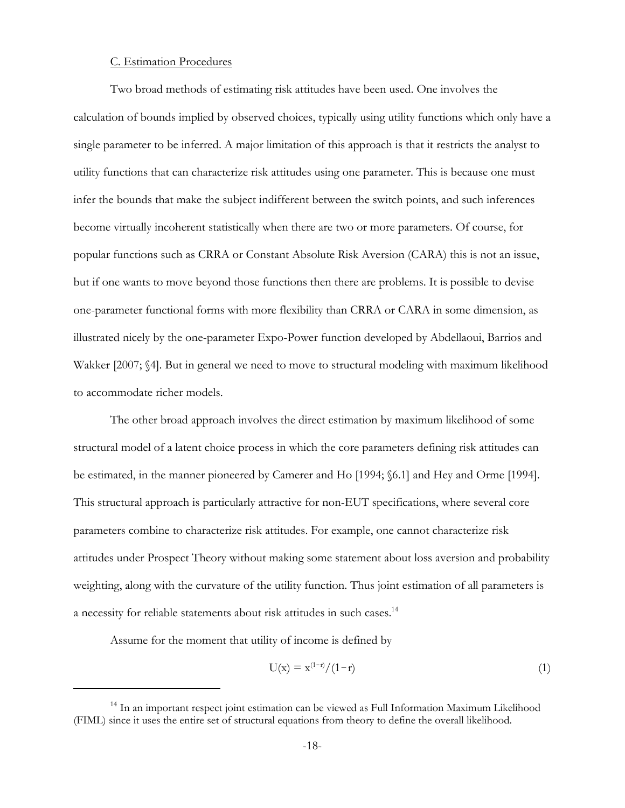### C. Estimation Procedures

Two broad methods of estimating risk attitudes have been used. One involves the calculation of bounds implied by observed choices, typically using utility functions which only have a single parameter to be inferred. A major limitation of this approach is that it restricts the analyst to utility functions that can characterize risk attitudes using one parameter. This is because one must infer the bounds that make the subject indifferent between the switch points, and such inferences become virtually incoherent statistically when there are two or more parameters. Of course, for popular functions such as CRRA or Constant Absolute Risk Aversion (CARA) this is not an issue, but if one wants to move beyond those functions then there are problems. It is possible to devise one-parameter functional forms with more flexibility than CRRA or CARA in some dimension, as illustrated nicely by the one-parameter Expo-Power function developed by Abdellaoui, Barrios and Wakker [2007; §4]. But in general we need to move to structural modeling with maximum likelihood to accommodate richer models.

The other broad approach involves the direct estimation by maximum likelihood of some structural model of a latent choice process in which the core parameters defining risk attitudes can be estimated, in the manner pioneered by Camerer and Ho [1994; §6.1] and Hey and Orme [1994]. This structural approach is particularly attractive for non-EUT specifications, where several core parameters combine to characterize risk attitudes. For example, one cannot characterize risk attitudes under Prospect Theory without making some statement about loss aversion and probability weighting, along with the curvature of the utility function. Thus joint estimation of all parameters is a necessity for reliable statements about risk attitudes in such cases.14

Assume for the moment that utility of income is defined by

$$
U(x) = x^{(1-r)}/(1-r)
$$
 (1)

<sup>&</sup>lt;sup>14</sup> In an important respect joint estimation can be viewed as Full Information Maximum Likelihood (FIML) since it uses the entire set of structural equations from theory to define the overall likelihood.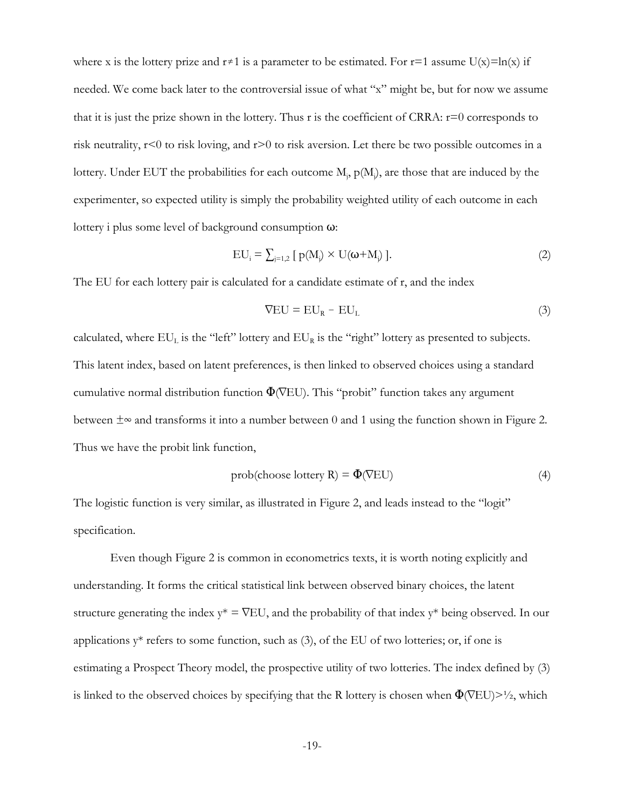where x is the lottery prize and  $r \ne 1$  is a parameter to be estimated. For r=1 assume U(x)=ln(x) if needed. We come back later to the controversial issue of what "x" might be, but for now we assume that it is just the prize shown in the lottery. Thus r is the coefficient of CRRA: r=0 corresponds to risk neutrality,  $r < 0$  to risk loving, and  $r > 0$  to risk aversion. Let there be two possible outcomes in a lottery. Under EUT the probabilities for each outcome  $M_j$ ,  $p(M_j)$ , are those that are induced by the experimenter, so expected utility is simply the probability weighted utility of each outcome in each lottery i plus some level of background consumption  $\omega$ :

$$
EU_i = \sum_{j=1,2} [p(M_j) \times U(\omega + M_j)]. \tag{2}
$$

The EU for each lottery pair is calculated for a candidate estimate of r, and the index

$$
\nabla \mathbf{E} \mathbf{U} = \mathbf{E} \mathbf{U}_{\mathbf{R}} - \mathbf{E} \mathbf{U}_{\mathbf{L}} \tag{3}
$$

calculated, where  $EU_L$  is the "left" lottery and  $EU_R$  is the "right" lottery as presented to subjects. This latent index, based on latent preferences, is then linked to observed choices using a standard cumulative normal distribution function  $\Phi$ (VEU). This "probit" function takes any argument between  $\pm\infty$  and transforms it into a number between 0 and 1 using the function shown in Figure 2. Thus we have the probit link function,

$$
prob(choose lottery R) = \Phi(\nabla EU)
$$
\n(4)

The logistic function is very similar, as illustrated in Figure 2, and leads instead to the "logit" specification.

Even though Figure 2 is common in econometrics texts, it is worth noting explicitly and understanding. It forms the critical statistical link between observed binary choices, the latent structure generating the index  $y^* = \nabla E U$ , and the probability of that index  $y^*$  being observed. In our applications  $y^*$  refers to some function, such as (3), of the EU of two lotteries; or, if one is estimating a Prospect Theory model, the prospective utility of two lotteries. The index defined by (3) is linked to the observed choices by specifying that the R lottery is chosen when  $\Phi(\nabla EU)$ <sup>2</sup>/<sub>2</sub>, which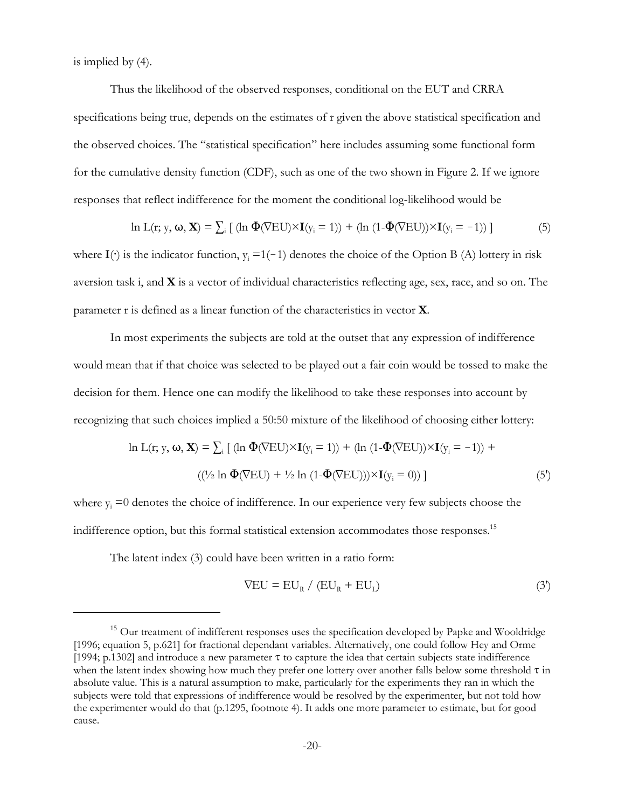is implied by (4).

Thus the likelihood of the observed responses, conditional on the EUT and CRRA

specifications being true, depends on the estimates of r given the above statistical specification and the observed choices. The "statistical specification" here includes assuming some functional form for the cumulative density function (CDF), such as one of the two shown in Figure 2. If we ignore responses that reflect indifference for the moment the conditional log-likelihood would be

$$
\ln L(r; y, \omega, \mathbf{X}) = \sum_{i} \left[ (\ln \Phi(\nabla E U) \times \mathbf{I}(y_i = 1)) + (\ln (1 - \Phi(\nabla E U)) \times \mathbf{I}(y_i = -1)) \right] \tag{5}
$$

where  $I(\cdot)$  is the indicator function,  $y_i = 1(-1)$  denotes the choice of the Option B (A) lottery in risk aversion task i, and **X** is a vector of individual characteristics reflecting age, sex, race, and so on. The parameter r is defined as a linear function of the characteristics in vector **X**.

In most experiments the subjects are told at the outset that any expression of indifference would mean that if that choice was selected to be played out a fair coin would be tossed to make the decision for them. Hence one can modify the likelihood to take these responses into account by recognizing that such choices implied a 50:50 mixture of the likelihood of choosing either lottery:

$$
\ln L(r; y, \omega, \mathbf{X}) = \sum_{i} \left[ (\ln \Phi(\nabla E U) \times \mathbf{I}(y_i = 1)) + (\ln (1 - \Phi(\nabla E U)) \times \mathbf{I}(y_i = -1)) + (\frac{1}{2} \ln \Phi(\nabla E U) + \frac{1}{2} \ln (1 - \Phi(\nabla E U))) \times \mathbf{I}(y_i = 0)) \right]
$$
(5')

where  $y_i = 0$  denotes the choice of indifference. In our experience very few subjects choose the indifference option, but this formal statistical extension accommodates those responses.<sup>15</sup>

The latent index (3) could have been written in a ratio form:

$$
\nabla EU = EU_R / (EU_R + EU_L) \tag{3'}
$$

<sup>&</sup>lt;sup>15</sup> Our treatment of indifferent responses uses the specification developed by Papke and Wooldridge [1996; equation 5, p.621] for fractional dependant variables. Alternatively, one could follow Hey and Orme [1994; p.1302] and introduce a new parameter  $\tau$  to capture the idea that certain subjects state indifference when the latent index showing how much they prefer one lottery over another falls below some threshold  $\tau$  in absolute value. This is a natural assumption to make, particularly for the experiments they ran in which the subjects were told that expressions of indifference would be resolved by the experimenter, but not told how the experimenter would do that (p.1295, footnote 4). It adds one more parameter to estimate, but for good cause.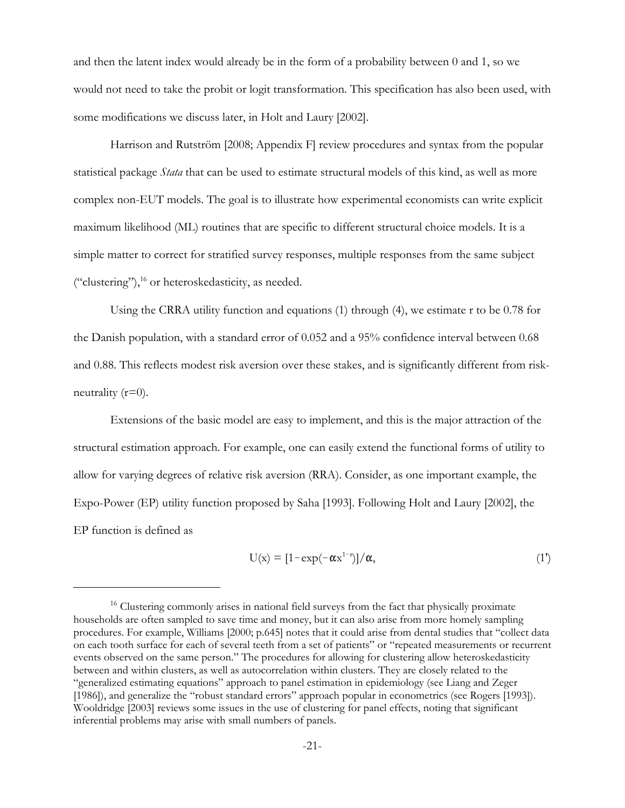and then the latent index would already be in the form of a probability between 0 and 1, so we would not need to take the probit or logit transformation. This specification has also been used, with some modifications we discuss later, in Holt and Laury [2002].

Harrison and Rutström [2008; Appendix F] review procedures and syntax from the popular statistical package *Stata* that can be used to estimate structural models of this kind, as well as more complex non-EUT models. The goal is to illustrate how experimental economists can write explicit maximum likelihood (ML) routines that are specific to different structural choice models. It is a simple matter to correct for stratified survey responses, multiple responses from the same subject ("clustering"), $^{16}$  or heteroskedasticity, as needed.

Using the CRRA utility function and equations (1) through (4), we estimate r to be 0.78 for the Danish population, with a standard error of 0.052 and a 95% confidence interval between 0.68 and 0.88. This reflects modest risk aversion over these stakes, and is significantly different from riskneutrality  $(r=0)$ .

Extensions of the basic model are easy to implement, and this is the major attraction of the structural estimation approach. For example, one can easily extend the functional forms of utility to allow for varying degrees of relative risk aversion (RRA). Consider, as one important example, the Expo-Power (EP) utility function proposed by Saha [1993]. Following Holt and Laury [2002], the EP function is defined as

$$
U(x) = \left[1 - \exp(-\alpha x^{1-\tau})\right] / \alpha, \tag{1'}
$$

<sup>&</sup>lt;sup>16</sup> Clustering commonly arises in national field surveys from the fact that physically proximate households are often sampled to save time and money, but it can also arise from more homely sampling procedures. For example, Williams [2000; p.645] notes that it could arise from dental studies that "collect data on each tooth surface for each of several teeth from a set of patients" or "repeated measurements or recurrent events observed on the same person." The procedures for allowing for clustering allow heteroskedasticity between and within clusters, as well as autocorrelation within clusters. They are closely related to the "generalized estimating equations" approach to panel estimation in epidemiology (see Liang and Zeger [1986]), and generalize the "robust standard errors" approach popular in econometrics (see Rogers [1993]). Wooldridge [2003] reviews some issues in the use of clustering for panel effects, noting that significant inferential problems may arise with small numbers of panels.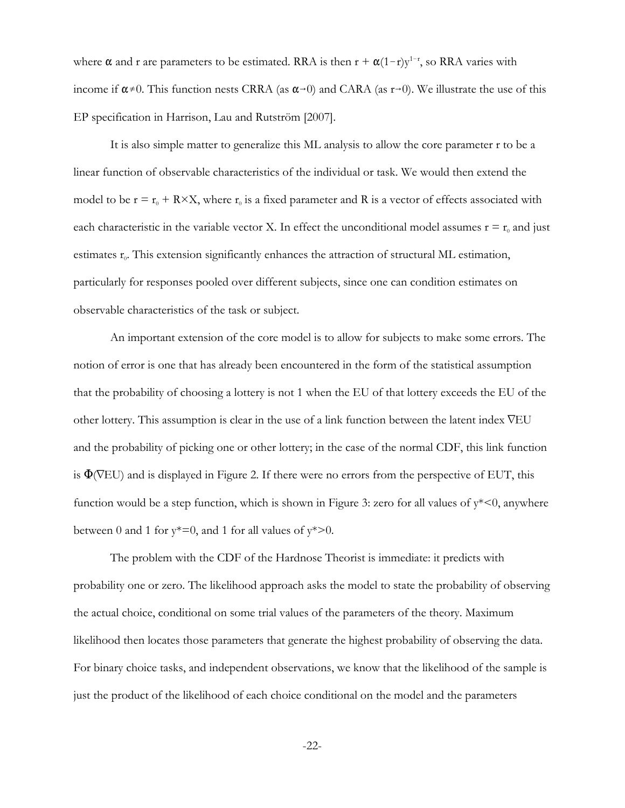where  $\alpha$  and r are parameters to be estimated. RRA is then  $r + \alpha(1-r)y^{1-r}$ , so RRA varies with income if  $\alpha \neq 0$ . This function nests CRRA (as  $\alpha \rightarrow 0$ ) and CARA (as r $\rightarrow 0$ ). We illustrate the use of this EP specification in Harrison, Lau and Rutström [2007].

It is also simple matter to generalize this ML analysis to allow the core parameter r to be a linear function of observable characteristics of the individual or task. We would then extend the model to be  $r = r_0 + R \times X$ , where  $r_0$  is a fixed parameter and R is a vector of effects associated with each characteristic in the variable vector X. In effect the unconditional model assumes  $r = r_0$  and just estimates  $r_0$ . This extension significantly enhances the attraction of structural ML estimation, particularly for responses pooled over different subjects, since one can condition estimates on observable characteristics of the task or subject.

An important extension of the core model is to allow for subjects to make some errors. The notion of error is one that has already been encountered in the form of the statistical assumption that the probability of choosing a lottery is not 1 when the EU of that lottery exceeds the EU of the other lottery. This assumption is clear in the use of a link function between the latent index  $\nabla$ EU and the probability of picking one or other lottery; in the case of the normal CDF, this link function is  $\Phi$ (VEU) and is displayed in Figure 2. If there were no errors from the perspective of EUT, this function would be a step function, which is shown in Figure 3: zero for all values of  $y^* < 0$ , anywhere between 0 and 1 for  $y^*=0$ , and 1 for all values of  $y^*>0$ .

The problem with the CDF of the Hardnose Theorist is immediate: it predicts with probability one or zero. The likelihood approach asks the model to state the probability of observing the actual choice, conditional on some trial values of the parameters of the theory. Maximum likelihood then locates those parameters that generate the highest probability of observing the data. For binary choice tasks, and independent observations, we know that the likelihood of the sample is just the product of the likelihood of each choice conditional on the model and the parameters

-22-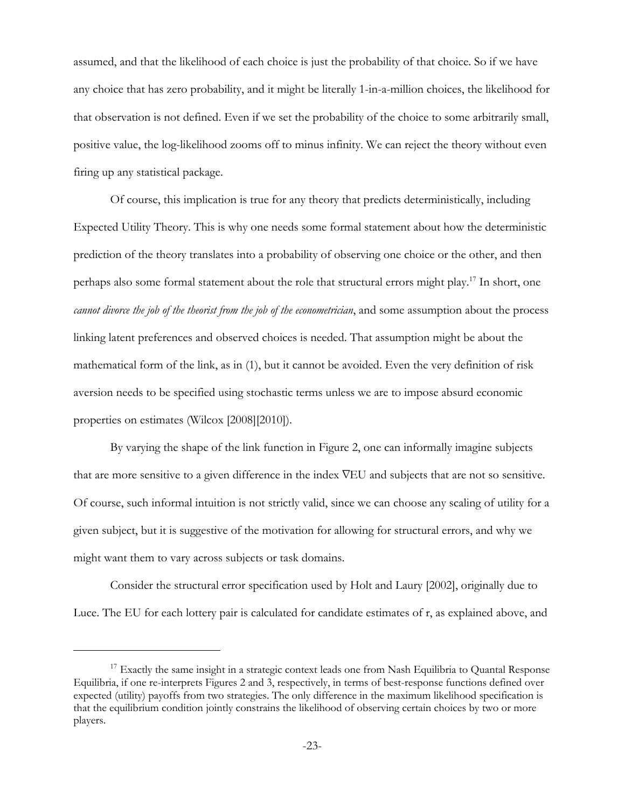assumed, and that the likelihood of each choice is just the probability of that choice. So if we have any choice that has zero probability, and it might be literally 1-in-a-million choices, the likelihood for that observation is not defined. Even if we set the probability of the choice to some arbitrarily small, positive value, the log-likelihood zooms off to minus infinity. We can reject the theory without even firing up any statistical package.

Of course, this implication is true for any theory that predicts deterministically, including Expected Utility Theory. This is why one needs some formal statement about how the deterministic prediction of the theory translates into a probability of observing one choice or the other, and then perhaps also some formal statement about the role that structural errors might play.<sup>17</sup> In short, one *cannot divorce the job of the theorist from the job of the econometrician*, and some assumption about the process linking latent preferences and observed choices is needed. That assumption might be about the mathematical form of the link, as in (1), but it cannot be avoided. Even the very definition of risk aversion needs to be specified using stochastic terms unless we are to impose absurd economic properties on estimates (Wilcox [2008][2010]).

By varying the shape of the link function in Figure 2, one can informally imagine subjects that are more sensitive to a given difference in the index  $\nabla EU$  and subjects that are not so sensitive. Of course, such informal intuition is not strictly valid, since we can choose any scaling of utility for a given subject, but it is suggestive of the motivation for allowing for structural errors, and why we might want them to vary across subjects or task domains.

Consider the structural error specification used by Holt and Laury [2002], originally due to Luce. The EU for each lottery pair is calculated for candidate estimates of r, as explained above, and

 $17$  Exactly the same insight in a strategic context leads one from Nash Equilibria to Quantal Response Equilibria, if one re-interprets Figures 2 and 3, respectively, in terms of best-response functions defined over expected (utility) payoffs from two strategies. The only difference in the maximum likelihood specification is that the equilibrium condition jointly constrains the likelihood of observing certain choices by two or more players.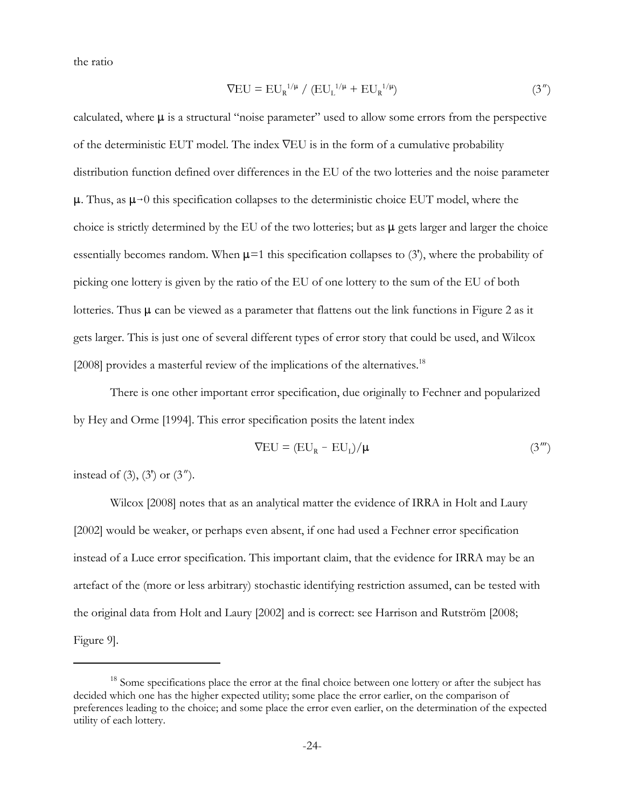the ratio

$$
\nabla \mathbf{E} \mathbf{U} = \mathbf{E} \mathbf{U}_{\mathbf{R}}^{1/\mu} / \left( \mathbf{E} \mathbf{U}_{\mathbf{L}}^{1/\mu} + \mathbf{E} \mathbf{U}_{\mathbf{R}}^{1/\mu} \right) \tag{3''}
$$

calculated, where  $\mu$  is a structural "noise parameter" used to allow some errors from the perspective of the deterministic EUT model. The index  $\nabla$ EU is in the form of a cumulative probability distribution function defined over differences in the EU of the two lotteries and the noise parameter  $\mu$ . Thus, as  $\mu$ -0 this specification collapses to the deterministic choice EUT model, where the choice is strictly determined by the EU of the two lotteries; but as  $\mu$  gets larger and larger the choice essentially becomes random. When  $\mu$ =1 this specification collapses to (3'), where the probability of picking one lottery is given by the ratio of the EU of one lottery to the sum of the EU of both lotteries. Thus  $\mu$  can be viewed as a parameter that flattens out the link functions in Figure 2 as it gets larger. This is just one of several different types of error story that could be used, and Wilcox [2008] provides a masterful review of the implications of the alternatives.<sup>18</sup>

There is one other important error specification, due originally to Fechner and popularized by Hey and Orme [1994]. This error specification posits the latent index

$$
\nabla \mathbf{E} \mathbf{U} = (\mathbf{E} \mathbf{U}_{\mathbf{R}} - \mathbf{E} \mathbf{U}_{\mathbf{I}}) / \boldsymbol{\mu} \tag{3''}
$$

instead of  $(3)$ ,  $(3')$  or  $(3'')$ .

Wilcox [2008] notes that as an analytical matter the evidence of IRRA in Holt and Laury [2002] would be weaker, or perhaps even absent, if one had used a Fechner error specification instead of a Luce error specification. This important claim, that the evidence for IRRA may be an artefact of the (more or less arbitrary) stochastic identifying restriction assumed, can be tested with the original data from Holt and Laury [2002] and is correct: see Harrison and Rutström [2008; Figure 9].

<sup>&</sup>lt;sup>18</sup> Some specifications place the error at the final choice between one lottery or after the subject has decided which one has the higher expected utility; some place the error earlier, on the comparison of preferences leading to the choice; and some place the error even earlier, on the determination of the expected utility of each lottery.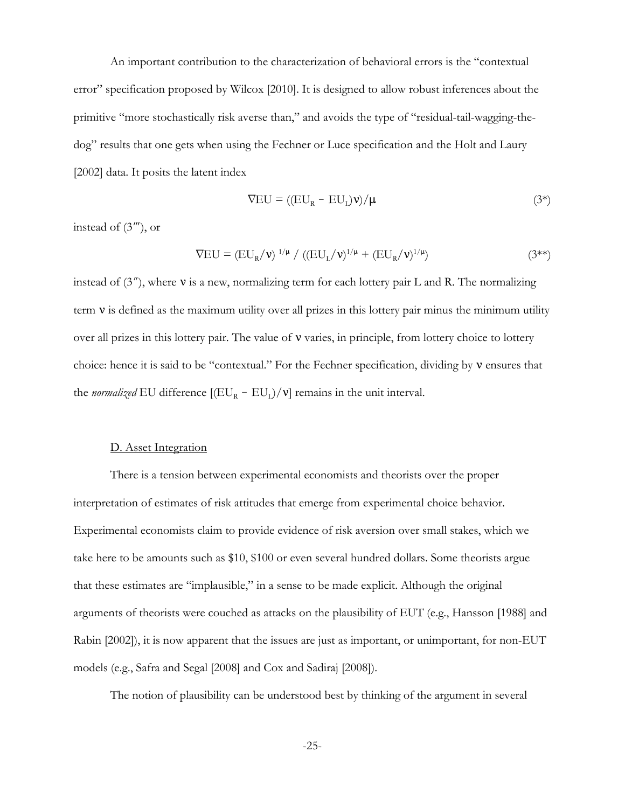An important contribution to the characterization of behavioral errors is the "contextual error" specification proposed by Wilcox [2010]. It is designed to allow robust inferences about the primitive "more stochastically risk averse than," and avoids the type of "residual-tail-wagging-thedog" results that one gets when using the Fechner or Luce specification and the Holt and Laury [2002] data. It posits the latent index

$$
\nabla \mathbf{E} \mathbf{U} = ((\mathbf{E} \mathbf{U}_{\mathbf{R}} - \mathbf{E} \mathbf{U}_{\mathbf{I}}) \mathbf{v}) / \mathbf{\mu} \tag{3*}
$$

instead of (3"), or

$$
\nabla \mathbf{E} \mathbf{U} = (\mathbf{E} \mathbf{U}_{\mathbf{R}} / \mathbf{v})^{1/\mu} / ((\mathbf{E} \mathbf{U}_{\mathbf{L}} / \mathbf{v})^{1/\mu} + (\mathbf{E} \mathbf{U}_{\mathbf{R}} / \mathbf{v})^{1/\mu})
$$
(3\*)

instead of  $(3'')$ , where v is a new, normalizing term for each lottery pair L and R. The normalizing term  $v$  is defined as the maximum utility over all prizes in this lottery pair minus the minimum utility over all prizes in this lottery pair. The value of  $v$  varies, in principle, from lottery choice to lottery choice: hence it is said to be "contextual." For the Fechner specification, dividing by < ensures that the *normalized* EU difference  $[(EU_R - EU_L)/V]$  remains in the unit interval.

### D. Asset Integration

There is a tension between experimental economists and theorists over the proper interpretation of estimates of risk attitudes that emerge from experimental choice behavior. Experimental economists claim to provide evidence of risk aversion over small stakes, which we take here to be amounts such as \$10, \$100 or even several hundred dollars. Some theorists argue that these estimates are "implausible," in a sense to be made explicit. Although the original arguments of theorists were couched as attacks on the plausibility of EUT (e.g., Hansson [1988] and Rabin [2002]), it is now apparent that the issues are just as important, or unimportant, for non-EUT models (e.g., Safra and Segal [2008] and Cox and Sadiraj [2008]).

The notion of plausibility can be understood best by thinking of the argument in several

-25-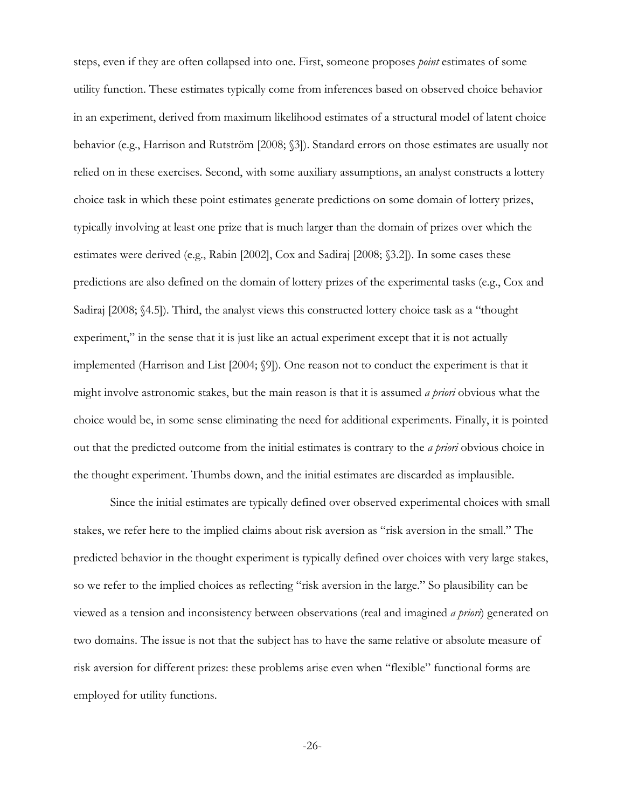steps, even if they are often collapsed into one. First, someone proposes *point* estimates of some utility function. These estimates typically come from inferences based on observed choice behavior in an experiment, derived from maximum likelihood estimates of a structural model of latent choice behavior (e.g., Harrison and Rutström [2008; §3]). Standard errors on those estimates are usually not relied on in these exercises. Second, with some auxiliary assumptions, an analyst constructs a lottery choice task in which these point estimates generate predictions on some domain of lottery prizes, typically involving at least one prize that is much larger than the domain of prizes over which the estimates were derived (e.g., Rabin [2002], Cox and Sadiraj [2008; §3.2]). In some cases these predictions are also defined on the domain of lottery prizes of the experimental tasks (e.g., Cox and Sadiraj [2008; §4.5]). Third, the analyst views this constructed lottery choice task as a "thought experiment," in the sense that it is just like an actual experiment except that it is not actually implemented (Harrison and List [2004; §9]). One reason not to conduct the experiment is that it might involve astronomic stakes, but the main reason is that it is assumed *a priori* obvious what the choice would be, in some sense eliminating the need for additional experiments. Finally, it is pointed out that the predicted outcome from the initial estimates is contrary to the *a priori* obvious choice in the thought experiment. Thumbs down, and the initial estimates are discarded as implausible.

Since the initial estimates are typically defined over observed experimental choices with small stakes, we refer here to the implied claims about risk aversion as "risk aversion in the small." The predicted behavior in the thought experiment is typically defined over choices with very large stakes, so we refer to the implied choices as reflecting "risk aversion in the large." So plausibility can be viewed as a tension and inconsistency between observations (real and imagined *a priori*) generated on two domains. The issue is not that the subject has to have the same relative or absolute measure of risk aversion for different prizes: these problems arise even when "flexible" functional forms are employed for utility functions.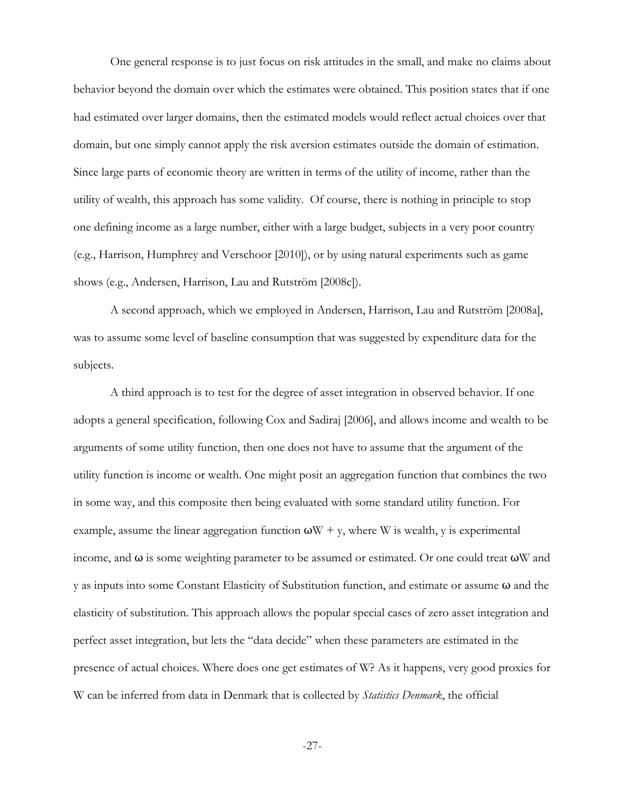One general response is to just focus on risk attitudes in the small, and make no claims about behavior beyond the domain over which the estimates were obtained. This position states that if one had estimated over larger domains, then the estimated models would reflect actual choices over that domain, but one simply cannot apply the risk aversion estimates outside the domain of estimation. Since large parts of economic theory are written in terms of the utility of income, rather than the utility of wealth, this approach has some validity. Of course, there is nothing in principle to stop one defining income as a large number, either with a large budget, subjects in a very poor country (e.g., Harrison, Humphrey and Verschoor [2010]), or by using natural experiments such as game shows (e.g., Andersen, Harrison, Lau and Rutström [2008c]).

A second approach, which we employed in Andersen, Harrison, Lau and Rutström [2008a], was to assume some level of baseline consumption that was suggested by expenditure data for the subjects.

A third approach is to test for the degree of asset integration in observed behavior. If one adopts a general specification, following Cox and Sadiraj [2006], and allows income and wealth to be arguments of some utility function, then one does not have to assume that the argument of the utility function is income or wealth. One might posit an aggregation function that combines the two in some way, and this composite then being evaluated with some standard utility function. For example, assume the linear aggregation function  $\omega W + y$ , where W is wealth, y is experimental income, and  $\omega$  is some weighting parameter to be assumed or estimated. Or one could treat  $\omega W$  and y as inputs into some Constant Elasticity of Substitution function, and estimate or assume  $\omega$  and the elasticity of substitution. This approach allows the popular special cases of zero asset integration and perfect asset integration, but lets the "data decide" when these parameters are estimated in the presence of actual choices. Where does one get estimates of W? As it happens, very good proxies for W can be inferred from data in Denmark that is collected by *Statistics Denmark*, the official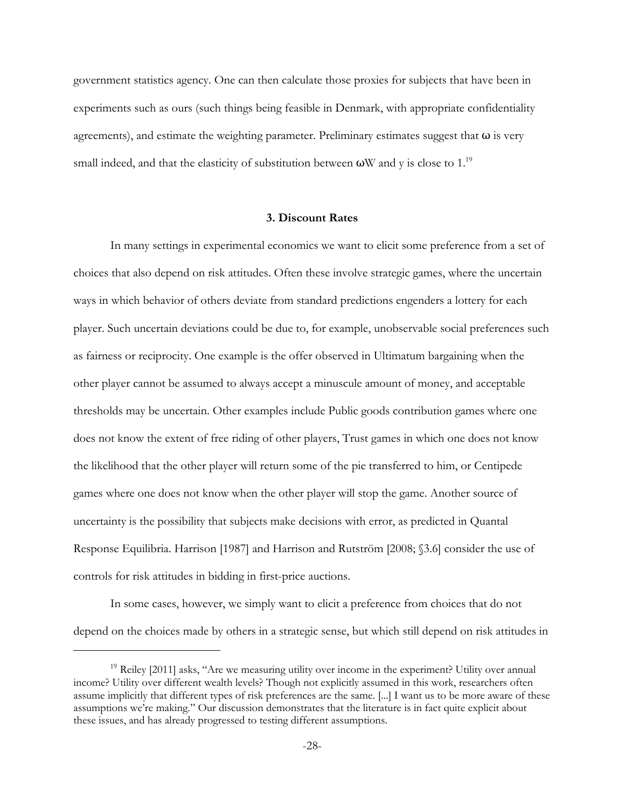government statistics agency. One can then calculate those proxies for subjects that have been in experiments such as ours (such things being feasible in Denmark, with appropriate confidentiality agreements), and estimate the weighting parameter. Preliminary estimates suggest that  $\omega$  is very small indeed, and that the elasticity of substitution between  $\omega W$  and y is close to 1.<sup>19</sup>

## **3. Discount Rates**

In many settings in experimental economics we want to elicit some preference from a set of choices that also depend on risk attitudes. Often these involve strategic games, where the uncertain ways in which behavior of others deviate from standard predictions engenders a lottery for each player. Such uncertain deviations could be due to, for example, unobservable social preferences such as fairness or reciprocity. One example is the offer observed in Ultimatum bargaining when the other player cannot be assumed to always accept a minuscule amount of money, and acceptable thresholds may be uncertain. Other examples include Public goods contribution games where one does not know the extent of free riding of other players, Trust games in which one does not know the likelihood that the other player will return some of the pie transferred to him, or Centipede games where one does not know when the other player will stop the game. Another source of uncertainty is the possibility that subjects make decisions with error, as predicted in Quantal Response Equilibria. Harrison [1987] and Harrison and Rutström [2008; §3.6] consider the use of controls for risk attitudes in bidding in first-price auctions.

In some cases, however, we simply want to elicit a preference from choices that do not depend on the choices made by others in a strategic sense, but which still depend on risk attitudes in

<sup>&</sup>lt;sup>19</sup> Reiley [2011] asks, "Are we measuring utility over income in the experiment? Utility over annual income? Utility over different wealth levels? Though not explicitly assumed in this work, researchers often assume implicitly that different types of risk preferences are the same. [...] I want us to be more aware of these assumptions we're making." Our discussion demonstrates that the literature is in fact quite explicit about these issues, and has already progressed to testing different assumptions.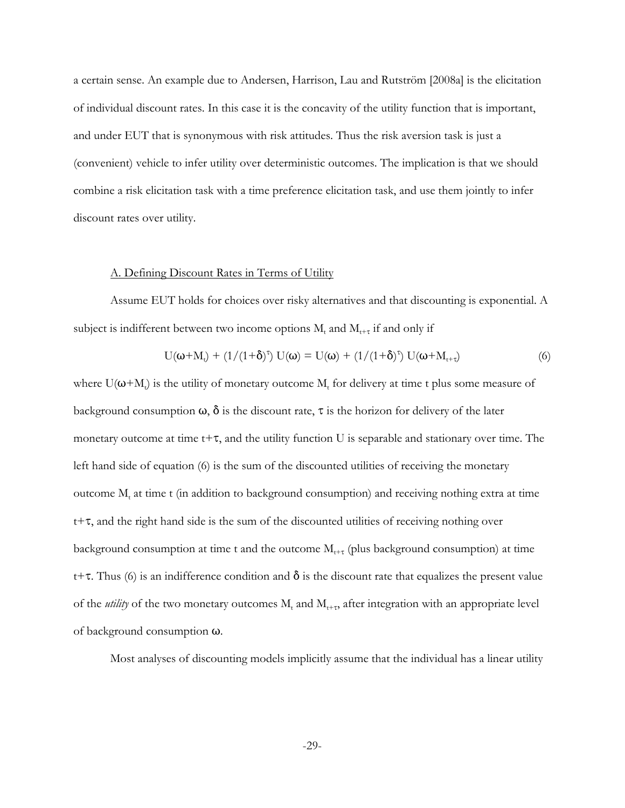a certain sense. An example due to Andersen, Harrison, Lau and Rutström [2008a] is the elicitation of individual discount rates. In this case it is the concavity of the utility function that is important, and under EUT that is synonymous with risk attitudes. Thus the risk aversion task is just a (convenient) vehicle to infer utility over deterministic outcomes. The implication is that we should combine a risk elicitation task with a time preference elicitation task, and use them jointly to infer discount rates over utility.

#### A. Defining Discount Rates in Terms of Utility

Assume EUT holds for choices over risky alternatives and that discounting is exponential. A subject is indifferent between two income options  $M_t$  and  $M_{t+\tau}$  if and only if

$$
U(\omega + M_t) + (1/(1+\delta)^{\tau}) U(\omega) = U(\omega) + (1/(1+\delta)^{\tau}) U(\omega + M_{t+\tau})
$$
\n(6)

where  $U(\omega + M_t)$  is the utility of monetary outcome  $M_t$  for delivery at time t plus some measure of background consumption  $\omega$ ,  $\delta$  is the discount rate,  $\tau$  is the horizon for delivery of the later monetary outcome at time  $t+\tau$ , and the utility function U is separable and stationary over time. The left hand side of equation (6) is the sum of the discounted utilities of receiving the monetary outcome M<sub>t</sub> at time t (in addition to background consumption) and receiving nothing extra at time  $t+\tau$ , and the right hand side is the sum of the discounted utilities of receiving nothing over background consumption at time t and the outcome  $M_{t+\tau}$  (plus background consumption) at time t+ $\tau$ . Thus (6) is an indifference condition and  $\delta$  is the discount rate that equalizes the present value of the *utility* of the two monetary outcomes M<sub>t</sub> and M<sub>t+t</sub>, after integration with an appropriate level of background consumption  $\omega$ .

Most analyses of discounting models implicitly assume that the individual has a linear utility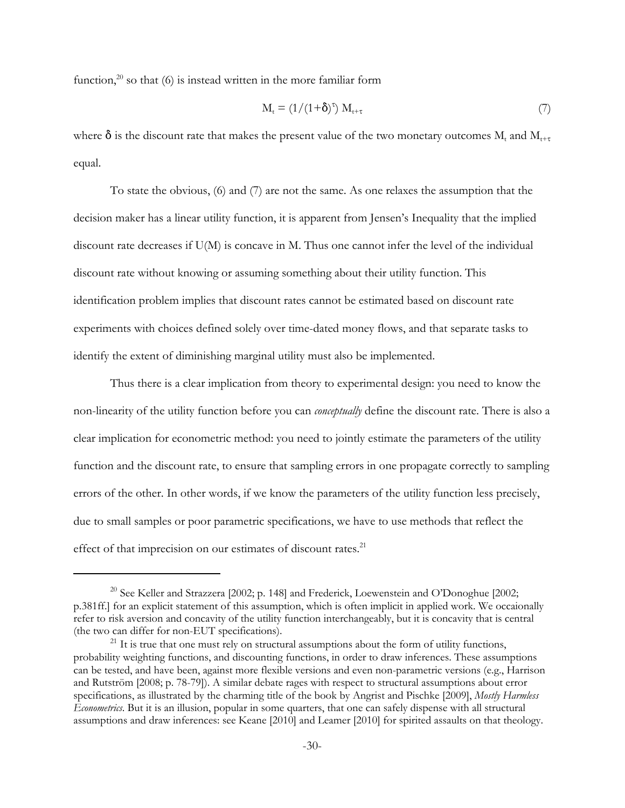function, $^{20}$  so that (6) is instead written in the more familiar form

$$
M_t = (1/(1+\delta)^{\tau}) M_{t+\tau}
$$
 (7)

where  $\delta$  is the discount rate that makes the present value of the two monetary outcomes  $\rm M_{t}$  and  $\rm M_{t+\tau}$ equal.

To state the obvious, (6) and (7) are not the same. As one relaxes the assumption that the decision maker has a linear utility function, it is apparent from Jensen's Inequality that the implied discount rate decreases if U(M) is concave in M. Thus one cannot infer the level of the individual discount rate without knowing or assuming something about their utility function. This identification problem implies that discount rates cannot be estimated based on discount rate experiments with choices defined solely over time-dated money flows, and that separate tasks to identify the extent of diminishing marginal utility must also be implemented.

Thus there is a clear implication from theory to experimental design: you need to know the non-linearity of the utility function before you can *conceptually* define the discount rate. There is also a clear implication for econometric method: you need to jointly estimate the parameters of the utility function and the discount rate, to ensure that sampling errors in one propagate correctly to sampling errors of the other. In other words, if we know the parameters of the utility function less precisely, due to small samples or poor parametric specifications, we have to use methods that reflect the effect of that imprecision on our estimates of discount rates.<sup>21</sup>

 $^{20}$  See Keller and Strazzera [2002; p. 148] and Frederick, Loewenstein and O'Donoghue [2002; p.381ff.] for an explicit statement of this assumption, which is often implicit in applied work. We occaionally refer to risk aversion and concavity of the utility function interchangeably, but it is concavity that is central (the two can differ for non-EUT specifications).

 $21$  It is true that one must rely on structural assumptions about the form of utility functions, probability weighting functions, and discounting functions, in order to draw inferences. These assumptions can be tested, and have been, against more flexible versions and even non-parametric versions (e.g., Harrison and Rutström [2008; p. 78-79]). A similar debate rages with respect to structural assumptions about error specifications, as illustrated by the charming title of the book by Angrist and Pischke [2009], *Mostly Harmless Econometrics*. But it is an illusion, popular in some quarters, that one can safely dispense with all structural assumptions and draw inferences: see Keane [2010] and Leamer [2010] for spirited assaults on that theology.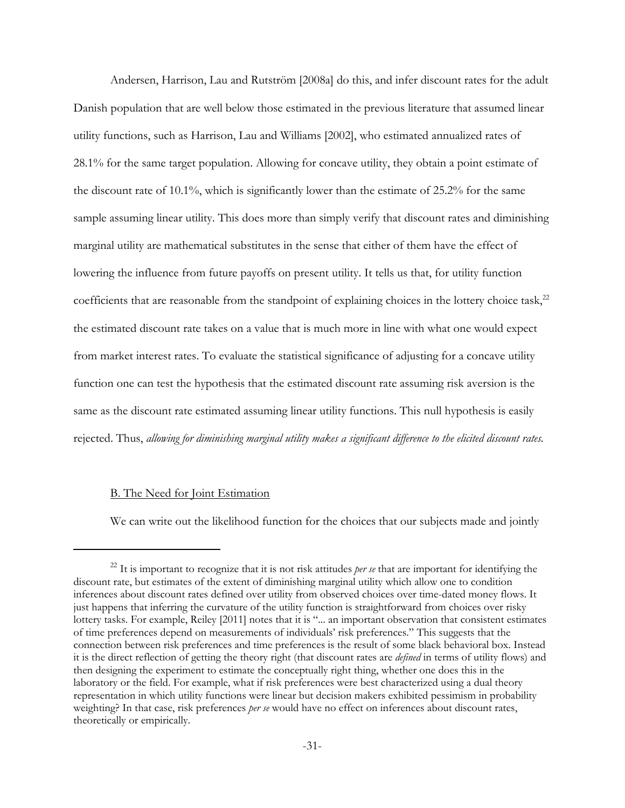Andersen, Harrison, Lau and Rutström [2008a] do this, and infer discount rates for the adult Danish population that are well below those estimated in the previous literature that assumed linear utility functions, such as Harrison, Lau and Williams [2002], who estimated annualized rates of 28.1% for the same target population. Allowing for concave utility, they obtain a point estimate of the discount rate of 10.1%, which is significantly lower than the estimate of 25.2% for the same sample assuming linear utility. This does more than simply verify that discount rates and diminishing marginal utility are mathematical substitutes in the sense that either of them have the effect of lowering the influence from future payoffs on present utility. It tells us that, for utility function coefficients that are reasonable from the standpoint of explaining choices in the lottery choice task,<sup>22</sup> the estimated discount rate takes on a value that is much more in line with what one would expect from market interest rates. To evaluate the statistical significance of adjusting for a concave utility function one can test the hypothesis that the estimated discount rate assuming risk aversion is the same as the discount rate estimated assuming linear utility functions. This null hypothesis is easily rejected. Thus, *allowing for diminishing marginal utility makes a significant difference to the elicited discount rates.*

## B. The Need for Joint Estimation

We can write out the likelihood function for the choices that our subjects made and jointly

<sup>&</sup>lt;sup>22</sup> It is important to recognize that it is not risk attitudes *per se* that are important for identifying the discount rate, but estimates of the extent of diminishing marginal utility which allow one to condition inferences about discount rates defined over utility from observed choices over time-dated money flows. It just happens that inferring the curvature of the utility function is straightforward from choices over risky lottery tasks. For example, Reiley [2011] notes that it is "... an important observation that consistent estimates of time preferences depend on measurements of individuals' risk preferences." This suggests that the connection between risk preferences and time preferences is the result of some black behavioral box. Instead it is the direct reflection of getting the theory right (that discount rates are *defined* in terms of utility flows) and then designing the experiment to estimate the conceptually right thing, whether one does this in the laboratory or the field. For example, what if risk preferences were best characterized using a dual theory representation in which utility functions were linear but decision makers exhibited pessimism in probability weighting? In that case, risk preferences *per se* would have no effect on inferences about discount rates, theoretically or empirically.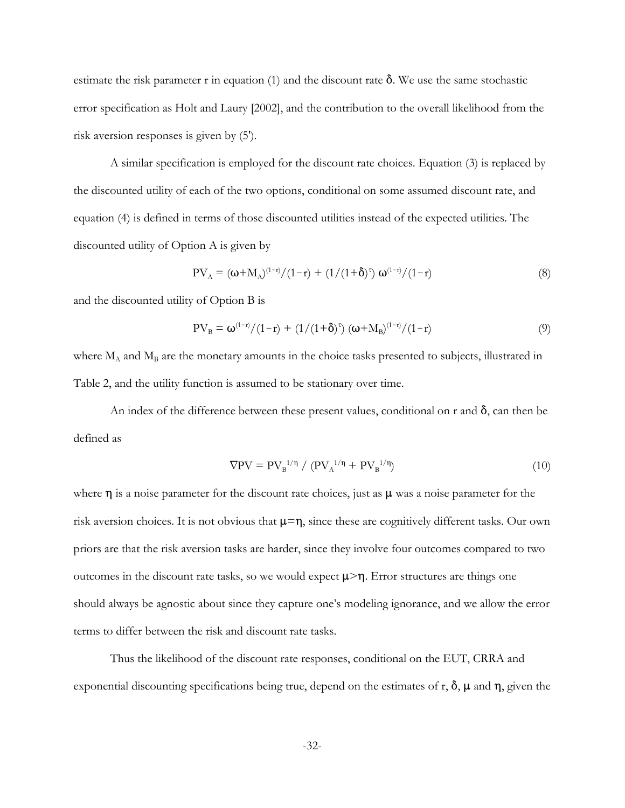estimate the risk parameter r in equation (1) and the discount rate  $\delta$ . We use the same stochastic error specification as Holt and Laury [2002], and the contribution to the overall likelihood from the risk aversion responses is given by (5').

A similar specification is employed for the discount rate choices. Equation (3) is replaced by the discounted utility of each of the two options, conditional on some assumed discount rate, and equation (4) is defined in terms of those discounted utilities instead of the expected utilities. The discounted utility of Option A is given by

$$
PV_{A} = (\omega + M_{A})^{(1-r)}/(1-r) + (1/(1+\delta)^{r}) \omega^{(1-r)}/(1-r)
$$
\n(8)

and the discounted utility of Option B is

$$
PV_{B} = \omega^{(1-r)}/(1-r) + (1/(1+\delta)^{r}) (\omega + M_{B})^{(1-r)}/(1-r)
$$
\n(9)

where  $M_A$  and  $M_B$  are the monetary amounts in the choice tasks presented to subjects, illustrated in Table 2, and the utility function is assumed to be stationary over time.

An index of the difference between these present values, conditional on r and  $\delta$ , can then be defined as

$$
\nabla \mathbf{PV} = \mathbf{PV}_{\mathbf{B}}^{1/\eta} / (\mathbf{PV}_{\mathbf{A}}^{1/\eta} + \mathbf{PV}_{\mathbf{B}}^{1/\eta})
$$
(10)

where  $\eta$  is a noise parameter for the discount rate choices, just as  $\mu$  was a noise parameter for the risk aversion choices. It is not obvious that  $\mu = \eta$ , since these are cognitively different tasks. Our own priors are that the risk aversion tasks are harder, since they involve four outcomes compared to two outcomes in the discount rate tasks, so we would expect  $\mu > \eta$ . Error structures are things one should always be agnostic about since they capture one's modeling ignorance, and we allow the error terms to differ between the risk and discount rate tasks.

Thus the likelihood of the discount rate responses, conditional on the EUT, CRRA and exponential discounting specifications being true, depend on the estimates of r,  $\delta$ ,  $\mu$  and  $\eta$ , given the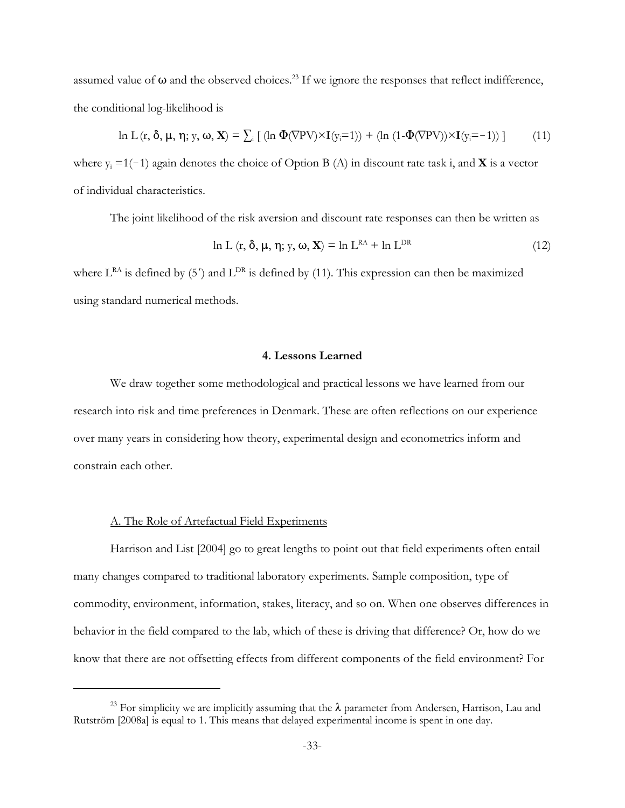assumed value of  $\omega$  and the observed choices.<sup>23</sup> If we ignore the responses that reflect indifference, the conditional log-likelihood is

$$
\ln L(r, \delta, \mu, \eta; y, \omega, \mathbf{X}) = \sum_{i} \left[ (\ln \Phi(\nabla P V) \times \mathbf{I}(y_i=1)) + (\ln (1 - \Phi(\nabla P V)) \times \mathbf{I}(y_i=-1)) \right] \tag{11}
$$

where  $y_i = 1(-1)$  again denotes the choice of Option B (A) in discount rate task i, and **X** is a vector of individual characteristics.

The joint likelihood of the risk aversion and discount rate responses can then be written as

$$
\ln L \left( \mathbf{r}, \delta, \mu, \eta; \mathbf{y}, \omega, \mathbf{X} \right) = \ln L^{\text{RA}} + \ln L^{\text{DR}} \tag{12}
$$

where  $L^{RA}$  is defined by (5') and  $L^{DR}$  is defined by (11). This expression can then be maximized using standard numerical methods.

### **4. Lessons Learned**

We draw together some methodological and practical lessons we have learned from our research into risk and time preferences in Denmark. These are often reflections on our experience over many years in considering how theory, experimental design and econometrics inform and constrain each other.

### A. The Role of Artefactual Field Experiments

Harrison and List [2004] go to great lengths to point out that field experiments often entail many changes compared to traditional laboratory experiments. Sample composition, type of commodity, environment, information, stakes, literacy, and so on. When one observes differences in behavior in the field compared to the lab, which of these is driving that difference? Or, how do we know that there are not offsetting effects from different components of the field environment? For

<sup>&</sup>lt;sup>23</sup> For simplicity we are implicitly assuming that the  $\lambda$  parameter from Andersen, Harrison, Lau and Rutström [2008a] is equal to 1. This means that delayed experimental income is spent in one day.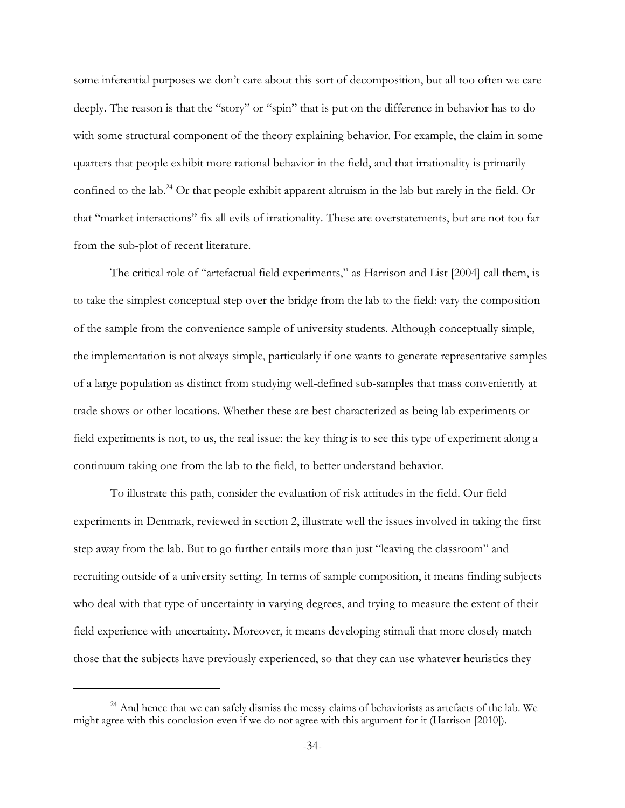some inferential purposes we don't care about this sort of decomposition, but all too often we care deeply. The reason is that the "story" or "spin" that is put on the difference in behavior has to do with some structural component of the theory explaining behavior. For example, the claim in some quarters that people exhibit more rational behavior in the field, and that irrationality is primarily confined to the lab.<sup>24</sup> Or that people exhibit apparent altruism in the lab but rarely in the field. Or that "market interactions" fix all evils of irrationality. These are overstatements, but are not too far from the sub-plot of recent literature.

The critical role of "artefactual field experiments," as Harrison and List [2004] call them, is to take the simplest conceptual step over the bridge from the lab to the field: vary the composition of the sample from the convenience sample of university students. Although conceptually simple, the implementation is not always simple, particularly if one wants to generate representative samples of a large population as distinct from studying well-defined sub-samples that mass conveniently at trade shows or other locations. Whether these are best characterized as being lab experiments or field experiments is not, to us, the real issue: the key thing is to see this type of experiment along a continuum taking one from the lab to the field, to better understand behavior.

To illustrate this path, consider the evaluation of risk attitudes in the field. Our field experiments in Denmark, reviewed in section 2, illustrate well the issues involved in taking the first step away from the lab. But to go further entails more than just "leaving the classroom" and recruiting outside of a university setting. In terms of sample composition, it means finding subjects who deal with that type of uncertainty in varying degrees, and trying to measure the extent of their field experience with uncertainty. Moreover, it means developing stimuli that more closely match those that the subjects have previously experienced, so that they can use whatever heuristics they

 $^{24}$  And hence that we can safely dismiss the messy claims of behaviorists as artefacts of the lab. We might agree with this conclusion even if we do not agree with this argument for it (Harrison [2010]).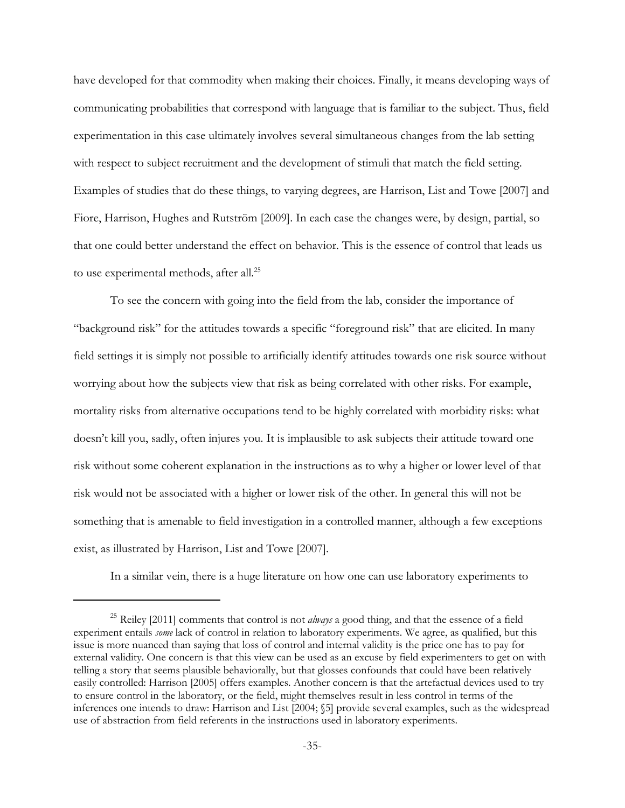have developed for that commodity when making their choices. Finally, it means developing ways of communicating probabilities that correspond with language that is familiar to the subject. Thus, field experimentation in this case ultimately involves several simultaneous changes from the lab setting with respect to subject recruitment and the development of stimuli that match the field setting. Examples of studies that do these things, to varying degrees, are Harrison, List and Towe [2007] and Fiore, Harrison, Hughes and Rutström [2009]. In each case the changes were, by design, partial, so that one could better understand the effect on behavior. This is the essence of control that leads us to use experimental methods, after all.<sup>25</sup>

To see the concern with going into the field from the lab, consider the importance of "background risk" for the attitudes towards a specific "foreground risk" that are elicited. In many field settings it is simply not possible to artificially identify attitudes towards one risk source without worrying about how the subjects view that risk as being correlated with other risks. For example, mortality risks from alternative occupations tend to be highly correlated with morbidity risks: what doesn't kill you, sadly, often injures you. It is implausible to ask subjects their attitude toward one risk without some coherent explanation in the instructions as to why a higher or lower level of that risk would not be associated with a higher or lower risk of the other. In general this will not be something that is amenable to field investigation in a controlled manner, although a few exceptions exist, as illustrated by Harrison, List and Towe [2007].

In a similar vein, there is a huge literature on how one can use laboratory experiments to

<sup>25</sup> Reiley [2011] comments that control is not *always* a good thing, and that the essence of a field experiment entails *some* lack of control in relation to laboratory experiments. We agree, as qualified, but this issue is more nuanced than saying that loss of control and internal validity is the price one has to pay for external validity. One concern is that this view can be used as an excuse by field experimenters to get on with telling a story that seems plausible behaviorally, but that glosses confounds that could have been relatively easily controlled: Harrison [2005] offers examples. Another concern is that the artefactual devices used to try to ensure control in the laboratory, or the field, might themselves result in less control in terms of the inferences one intends to draw: Harrison and List [2004; §5] provide several examples, such as the widespread use of abstraction from field referents in the instructions used in laboratory experiments.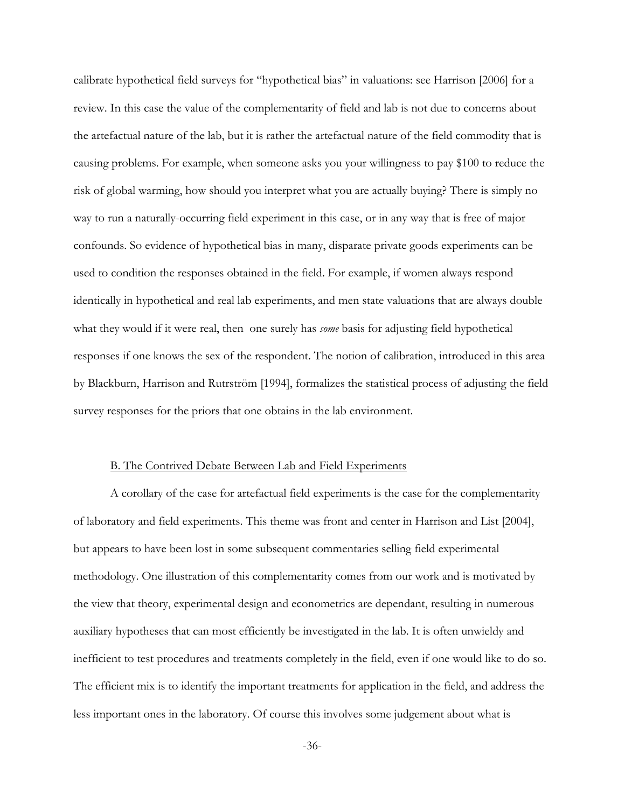calibrate hypothetical field surveys for "hypothetical bias" in valuations: see Harrison [2006] for a review. In this case the value of the complementarity of field and lab is not due to concerns about the artefactual nature of the lab, but it is rather the artefactual nature of the field commodity that is causing problems. For example, when someone asks you your willingness to pay \$100 to reduce the risk of global warming, how should you interpret what you are actually buying? There is simply no way to run a naturally-occurring field experiment in this case, or in any way that is free of major confounds. So evidence of hypothetical bias in many, disparate private goods experiments can be used to condition the responses obtained in the field. For example, if women always respond identically in hypothetical and real lab experiments, and men state valuations that are always double what they would if it were real, then one surely has *some* basis for adjusting field hypothetical responses if one knows the sex of the respondent. The notion of calibration, introduced in this area by Blackburn, Harrison and Rutrström [1994], formalizes the statistical process of adjusting the field survey responses for the priors that one obtains in the lab environment.

#### B. The Contrived Debate Between Lab and Field Experiments

A corollary of the case for artefactual field experiments is the case for the complementarity of laboratory and field experiments. This theme was front and center in Harrison and List [2004], but appears to have been lost in some subsequent commentaries selling field experimental methodology. One illustration of this complementarity comes from our work and is motivated by the view that theory, experimental design and econometrics are dependant, resulting in numerous auxiliary hypotheses that can most efficiently be investigated in the lab. It is often unwieldy and inefficient to test procedures and treatments completely in the field, even if one would like to do so. The efficient mix is to identify the important treatments for application in the field, and address the less important ones in the laboratory. Of course this involves some judgement about what is

-36-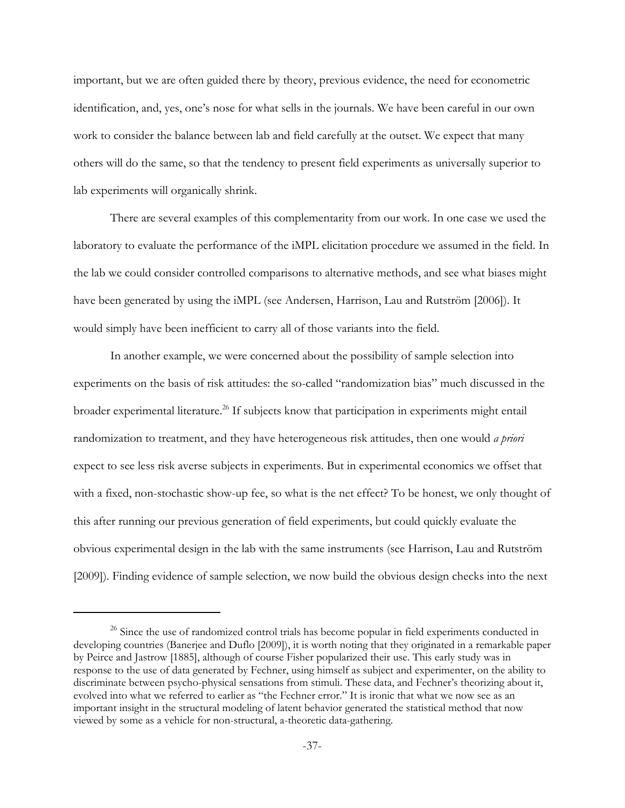important, but we are often guided there by theory, previous evidence, the need for econometric identification, and, yes, one's nose for what sells in the journals. We have been careful in our own work to consider the balance between lab and field carefully at the outset. We expect that many others will do the same, so that the tendency to present field experiments as universally superior to lab experiments will organically shrink.

There are several examples of this complementarity from our work. In one case we used the laboratory to evaluate the performance of the iMPL elicitation procedure we assumed in the field. In the lab we could consider controlled comparisons to alternative methods, and see what biases might have been generated by using the iMPL (see Andersen, Harrison, Lau and Rutström [2006]). It would simply have been inefficient to carry all of those variants into the field.

In another example, we were concerned about the possibility of sample selection into experiments on the basis of risk attitudes: the so-called "randomization bias" much discussed in the broader experimental literature.<sup>26</sup> If subjects know that participation in experiments might entail randomization to treatment, and they have heterogeneous risk attitudes, then one would *a priori* expect to see less risk averse subjects in experiments. But in experimental economics we offset that with a fixed, non-stochastic show-up fee, so what is the net effect? To be honest, we only thought of this after running our previous generation of field experiments, but could quickly evaluate the obvious experimental design in the lab with the same instruments (see Harrison, Lau and Rutström [2009]). Finding evidence of sample selection, we now build the obvious design checks into the next

<sup>&</sup>lt;sup>26</sup> Since the use of randomized control trials has become popular in field experiments conducted in developing countries (Banerjee and Duflo [2009]), it is worth noting that they originated in a remarkable paper by Peirce and Jastrow [1885], although of course Fisher popularized their use. This early study was in response to the use of data generated by Fechner, using himself as subject and experimenter, on the ability to discriminate between psycho-physical sensations from stimuli. These data, and Fechner's theorizing about it, evolved into what we referred to earlier as "the Fechner error." It is ironic that what we now see as an important insight in the structural modeling of latent behavior generated the statistical method that now viewed by some as a vehicle for non-structural, a-theoretic data-gathering.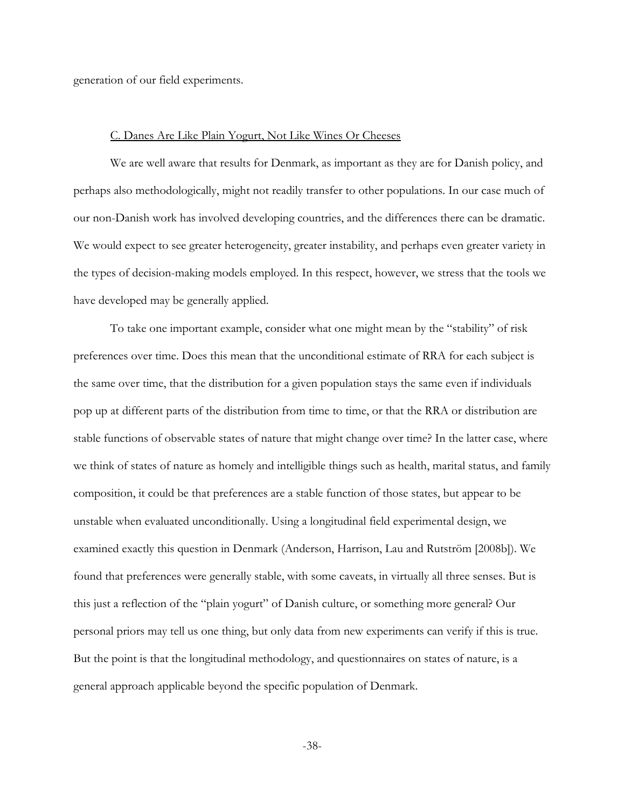generation of our field experiments.

### C. Danes Are Like Plain Yogurt, Not Like Wines Or Cheeses

We are well aware that results for Denmark, as important as they are for Danish policy, and perhaps also methodologically, might not readily transfer to other populations. In our case much of our non-Danish work has involved developing countries, and the differences there can be dramatic. We would expect to see greater heterogeneity, greater instability, and perhaps even greater variety in the types of decision-making models employed. In this respect, however, we stress that the tools we have developed may be generally applied.

To take one important example, consider what one might mean by the "stability" of risk preferences over time. Does this mean that the unconditional estimate of RRA for each subject is the same over time, that the distribution for a given population stays the same even if individuals pop up at different parts of the distribution from time to time, or that the RRA or distribution are stable functions of observable states of nature that might change over time? In the latter case, where we think of states of nature as homely and intelligible things such as health, marital status, and family composition, it could be that preferences are a stable function of those states, but appear to be unstable when evaluated unconditionally. Using a longitudinal field experimental design, we examined exactly this question in Denmark (Anderson, Harrison, Lau and Rutström [2008b]). We found that preferences were generally stable, with some caveats, in virtually all three senses. But is this just a reflection of the "plain yogurt" of Danish culture, or something more general? Our personal priors may tell us one thing, but only data from new experiments can verify if this is true. But the point is that the longitudinal methodology, and questionnaires on states of nature, is a general approach applicable beyond the specific population of Denmark.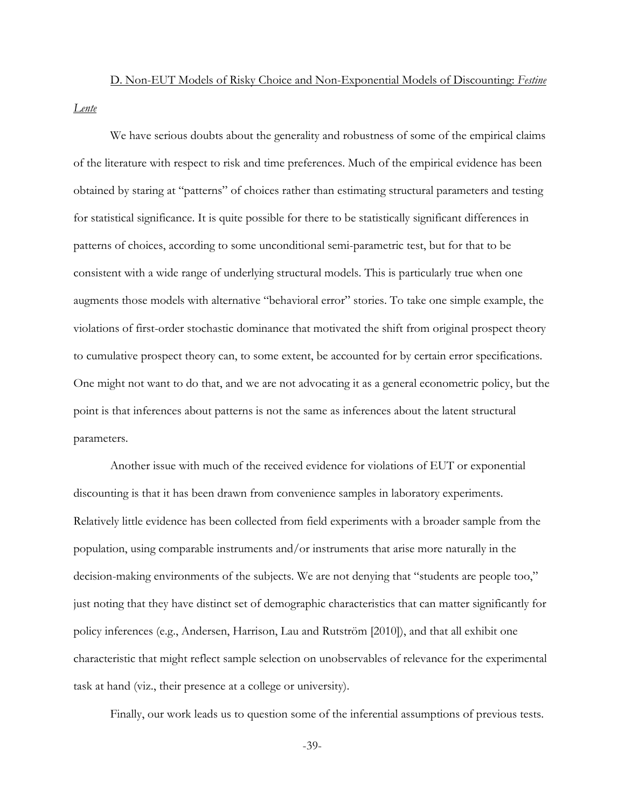D. Non-EUT Models of Risky Choice and Non-Exponential Models of Discounting: *Festine Lente*

We have serious doubts about the generality and robustness of some of the empirical claims of the literature with respect to risk and time preferences. Much of the empirical evidence has been obtained by staring at "patterns" of choices rather than estimating structural parameters and testing for statistical significance. It is quite possible for there to be statistically significant differences in patterns of choices, according to some unconditional semi-parametric test, but for that to be consistent with a wide range of underlying structural models. This is particularly true when one augments those models with alternative "behavioral error" stories. To take one simple example, the violations of first-order stochastic dominance that motivated the shift from original prospect theory to cumulative prospect theory can, to some extent, be accounted for by certain error specifications. One might not want to do that, and we are not advocating it as a general econometric policy, but the point is that inferences about patterns is not the same as inferences about the latent structural parameters.

Another issue with much of the received evidence for violations of EUT or exponential discounting is that it has been drawn from convenience samples in laboratory experiments. Relatively little evidence has been collected from field experiments with a broader sample from the population, using comparable instruments and/or instruments that arise more naturally in the decision-making environments of the subjects. We are not denying that "students are people too," just noting that they have distinct set of demographic characteristics that can matter significantly for policy inferences (e.g., Andersen, Harrison, Lau and Rutström [2010]), and that all exhibit one characteristic that might reflect sample selection on unobservables of relevance for the experimental task at hand (viz., their presence at a college or university).

Finally, our work leads us to question some of the inferential assumptions of previous tests.

-39-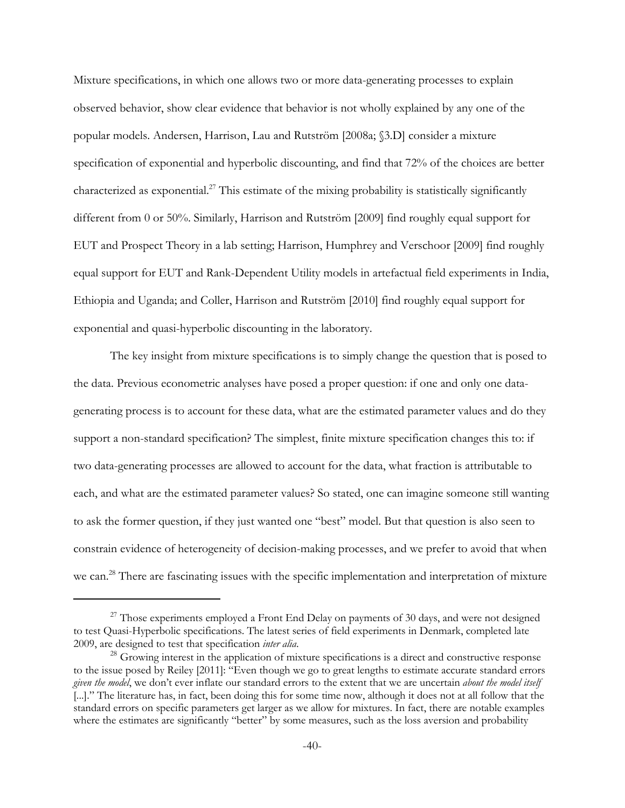Mixture specifications, in which one allows two or more data-generating processes to explain observed behavior, show clear evidence that behavior is not wholly explained by any one of the popular models. Andersen, Harrison, Lau and Rutström [2008a; §3.D] consider a mixture specification of exponential and hyperbolic discounting, and find that 72% of the choices are better characterized as exponential.<sup>27</sup> This estimate of the mixing probability is statistically significantly different from 0 or 50%. Similarly, Harrison and Rutström [2009] find roughly equal support for EUT and Prospect Theory in a lab setting; Harrison, Humphrey and Verschoor [2009] find roughly equal support for EUT and Rank-Dependent Utility models in artefactual field experiments in India, Ethiopia and Uganda; and Coller, Harrison and Rutström [2010] find roughly equal support for exponential and quasi-hyperbolic discounting in the laboratory.

The key insight from mixture specifications is to simply change the question that is posed to the data. Previous econometric analyses have posed a proper question: if one and only one datagenerating process is to account for these data, what are the estimated parameter values and do they support a non-standard specification? The simplest, finite mixture specification changes this to: if two data-generating processes are allowed to account for the data, what fraction is attributable to each, and what are the estimated parameter values? So stated, one can imagine someone still wanting to ask the former question, if they just wanted one "best" model. But that question is also seen to constrain evidence of heterogeneity of decision-making processes, and we prefer to avoid that when we can.<sup>28</sup> There are fascinating issues with the specific implementation and interpretation of mixture

 $27$  Those experiments employed a Front End Delay on payments of 30 days, and were not designed to test Quasi-Hyperbolic specifications. The latest series of field experiments in Denmark, completed late 2009, are designed to test that specification *inter alia*.

 $^{28}$  Growing interest in the application of mixture specifications is a direct and constructive response to the issue posed by Reiley [2011]: "Even though we go to great lengths to estimate accurate standard errors *given the model*, we don't ever inflate our standard errors to the extent that we are uncertain *about the model itself* [...]." The literature has, in fact, been doing this for some time now, although it does not at all follow that the standard errors on specific parameters get larger as we allow for mixtures. In fact, there are notable examples where the estimates are significantly "better" by some measures, such as the loss aversion and probability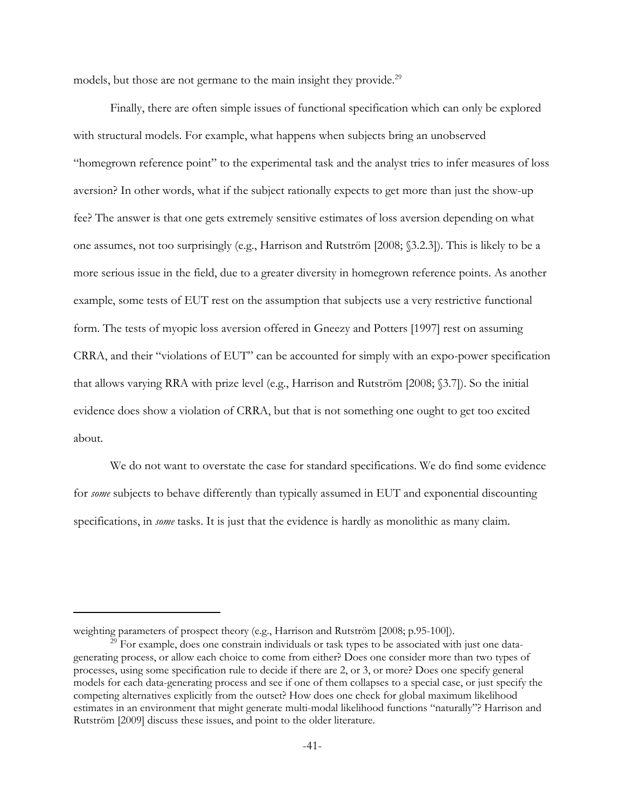models, but those are not germane to the main insight they provide.<sup>29</sup>

Finally, there are often simple issues of functional specification which can only be explored with structural models. For example, what happens when subjects bring an unobserved "homegrown reference point" to the experimental task and the analyst tries to infer measures of loss aversion? In other words, what if the subject rationally expects to get more than just the show-up fee? The answer is that one gets extremely sensitive estimates of loss aversion depending on what one assumes, not too surprisingly (e.g., Harrison and Rutström [2008; §3.2.3]). This is likely to be a more serious issue in the field, due to a greater diversity in homegrown reference points. As another example, some tests of EUT rest on the assumption that subjects use a very restrictive functional form. The tests of myopic loss aversion offered in Gneezy and Potters [1997] rest on assuming CRRA, and their "violations of EUT" can be accounted for simply with an expo-power specification that allows varying RRA with prize level (e.g., Harrison and Rutström [2008; §3.7]). So the initial evidence does show a violation of CRRA, but that is not something one ought to get too excited about.

We do not want to overstate the case for standard specifications. We do find some evidence for *some* subjects to behave differently than typically assumed in EUT and exponential discounting specifications, in *some* tasks. It is just that the evidence is hardly as monolithic as many claim.

weighting parameters of prospect theory (e.g., Harrison and Rutström [2008; p.95-100]).

 $2^{29}$  For example, does one constrain individuals or task types to be associated with just one datagenerating process, or allow each choice to come from either? Does one consider more than two types of processes, using some specification rule to decide if there are 2, or 3, or more? Does one specify general models for each data-generating process and see if one of them collapses to a special case, or just specify the competing alternatives explicitly from the outset? How does one check for global maximum likelihood estimates in an environment that might generate multi-modal likelihood functions "naturally"? Harrison and Rutström [2009] discuss these issues, and point to the older literature.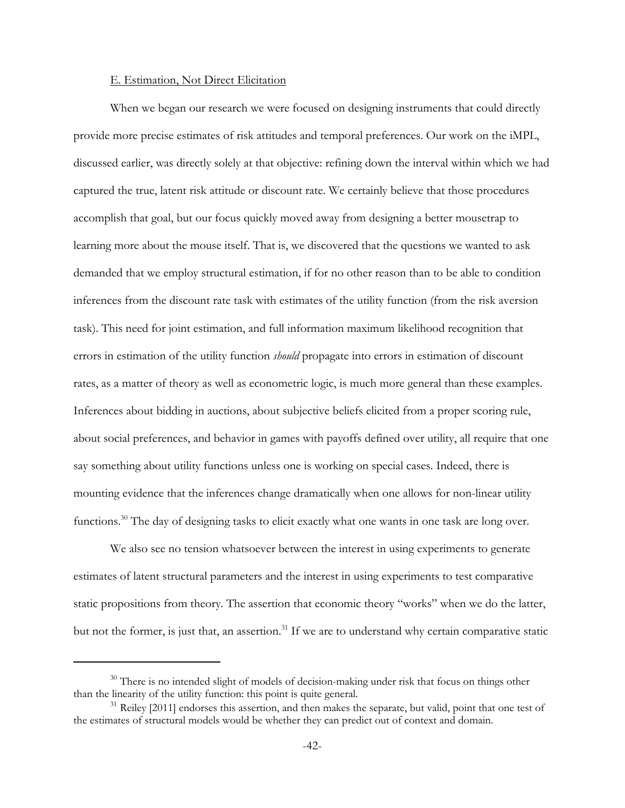## E. Estimation, Not Direct Elicitation

When we began our research we were focused on designing instruments that could directly provide more precise estimates of risk attitudes and temporal preferences. Our work on the iMPL, discussed earlier, was directly solely at that objective: refining down the interval within which we had captured the true, latent risk attitude or discount rate. We certainly believe that those procedures accomplish that goal, but our focus quickly moved away from designing a better mousetrap to learning more about the mouse itself. That is, we discovered that the questions we wanted to ask demanded that we employ structural estimation, if for no other reason than to be able to condition inferences from the discount rate task with estimates of the utility function (from the risk aversion task). This need for joint estimation, and full information maximum likelihood recognition that errors in estimation of the utility function *should* propagate into errors in estimation of discount rates, as a matter of theory as well as econometric logic, is much more general than these examples. Inferences about bidding in auctions, about subjective beliefs elicited from a proper scoring rule, about social preferences, and behavior in games with payoffs defined over utility, all require that one say something about utility functions unless one is working on special cases. Indeed, there is mounting evidence that the inferences change dramatically when one allows for non-linear utility functions.<sup>30</sup> The day of designing tasks to elicit exactly what one wants in one task are long over.

We also see no tension whatsoever between the interest in using experiments to generate estimates of latent structural parameters and the interest in using experiments to test comparative static propositions from theory. The assertion that economic theory "works" when we do the latter, but not the former, is just that, an assertion.<sup>31</sup> If we are to understand why certain comparative static

 $30$  There is no intended slight of models of decision-making under risk that focus on things other than the linearity of the utility function: this point is quite general.

 $31$  Reiley [2011] endorses this assertion, and then makes the separate, but valid, point that one test of the estimates of structural models would be whether they can predict out of context and domain.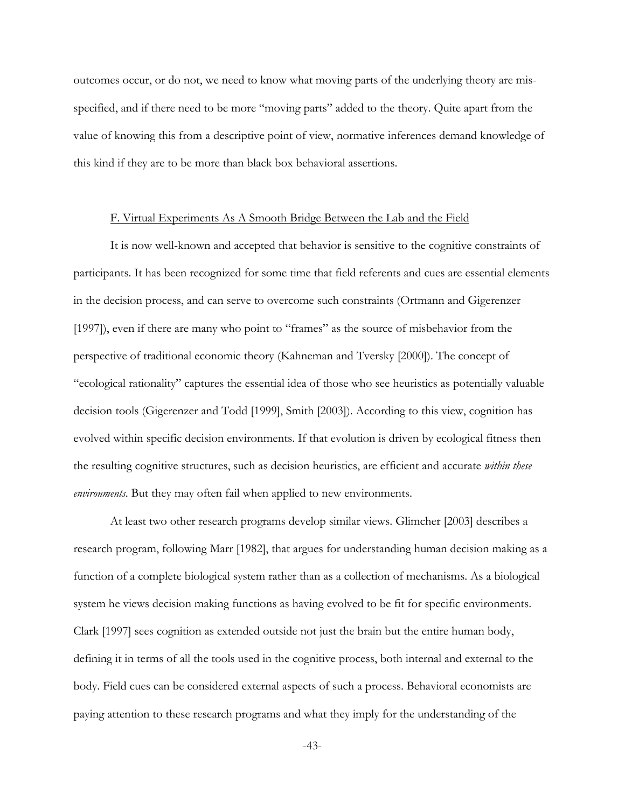outcomes occur, or do not, we need to know what moving parts of the underlying theory are misspecified, and if there need to be more "moving parts" added to the theory. Quite apart from the value of knowing this from a descriptive point of view, normative inferences demand knowledge of this kind if they are to be more than black box behavioral assertions.

#### F. Virtual Experiments As A Smooth Bridge Between the Lab and the Field

It is now well-known and accepted that behavior is sensitive to the cognitive constraints of participants. It has been recognized for some time that field referents and cues are essential elements in the decision process, and can serve to overcome such constraints (Ortmann and Gigerenzer [1997]), even if there are many who point to "frames" as the source of misbehavior from the perspective of traditional economic theory (Kahneman and Tversky [2000]). The concept of "ecological rationality" captures the essential idea of those who see heuristics as potentially valuable decision tools (Gigerenzer and Todd [1999], Smith [2003]). According to this view, cognition has evolved within specific decision environments. If that evolution is driven by ecological fitness then the resulting cognitive structures, such as decision heuristics, are efficient and accurate *within these environments*. But they may often fail when applied to new environments.

At least two other research programs develop similar views. Glimcher [2003] describes a research program, following Marr [1982], that argues for understanding human decision making as a function of a complete biological system rather than as a collection of mechanisms. As a biological system he views decision making functions as having evolved to be fit for specific environments. Clark [1997] sees cognition as extended outside not just the brain but the entire human body, defining it in terms of all the tools used in the cognitive process, both internal and external to the body. Field cues can be considered external aspects of such a process. Behavioral economists are paying attention to these research programs and what they imply for the understanding of the

-43-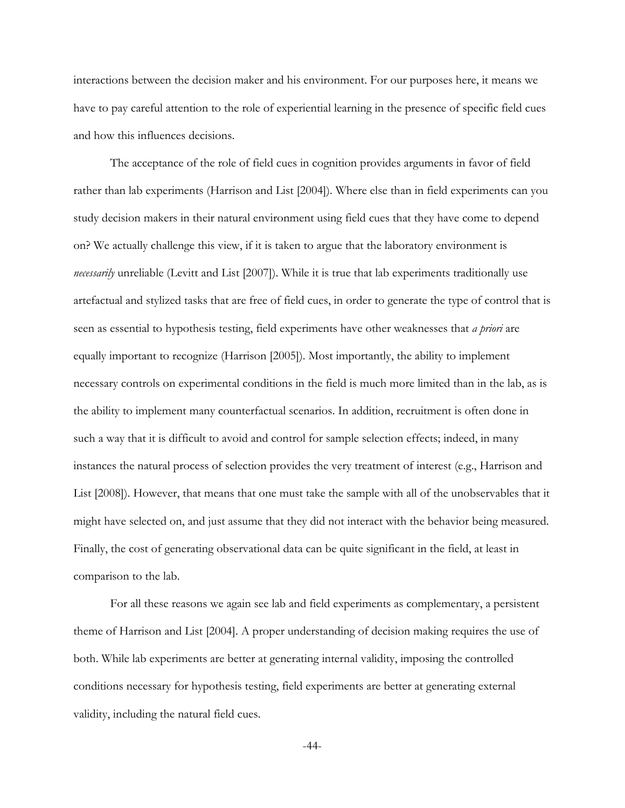interactions between the decision maker and his environment. For our purposes here, it means we have to pay careful attention to the role of experiential learning in the presence of specific field cues and how this influences decisions.

The acceptance of the role of field cues in cognition provides arguments in favor of field rather than lab experiments (Harrison and List [2004]). Where else than in field experiments can you study decision makers in their natural environment using field cues that they have come to depend on? We actually challenge this view, if it is taken to argue that the laboratory environment is *necessarily* unreliable (Levitt and List [2007]). While it is true that lab experiments traditionally use artefactual and stylized tasks that are free of field cues, in order to generate the type of control that is seen as essential to hypothesis testing, field experiments have other weaknesses that *a priori* are equally important to recognize (Harrison [2005]). Most importantly, the ability to implement necessary controls on experimental conditions in the field is much more limited than in the lab, as is the ability to implement many counterfactual scenarios. In addition, recruitment is often done in such a way that it is difficult to avoid and control for sample selection effects; indeed, in many instances the natural process of selection provides the very treatment of interest (e.g., Harrison and List [2008]). However, that means that one must take the sample with all of the unobservables that it might have selected on, and just assume that they did not interact with the behavior being measured. Finally, the cost of generating observational data can be quite significant in the field, at least in comparison to the lab.

For all these reasons we again see lab and field experiments as complementary, a persistent theme of Harrison and List [2004]. A proper understanding of decision making requires the use of both. While lab experiments are better at generating internal validity, imposing the controlled conditions necessary for hypothesis testing, field experiments are better at generating external validity, including the natural field cues.

-44-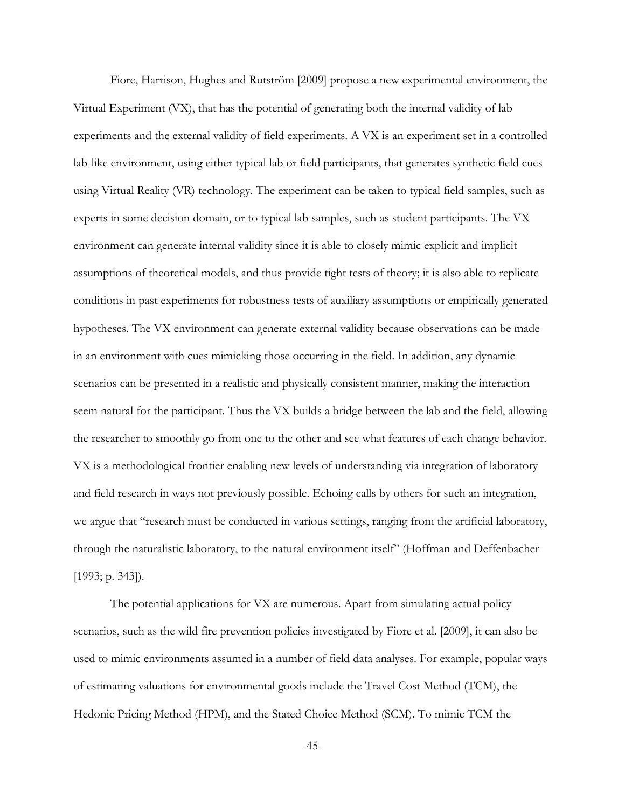Fiore, Harrison, Hughes and Rutström [2009] propose a new experimental environment, the Virtual Experiment (VX), that has the potential of generating both the internal validity of lab experiments and the external validity of field experiments. A VX is an experiment set in a controlled lab-like environment, using either typical lab or field participants, that generates synthetic field cues using Virtual Reality (VR) technology. The experiment can be taken to typical field samples, such as experts in some decision domain, or to typical lab samples, such as student participants. The VX environment can generate internal validity since it is able to closely mimic explicit and implicit assumptions of theoretical models, and thus provide tight tests of theory; it is also able to replicate conditions in past experiments for robustness tests of auxiliary assumptions or empirically generated hypotheses. The VX environment can generate external validity because observations can be made in an environment with cues mimicking those occurring in the field. In addition, any dynamic scenarios can be presented in a realistic and physically consistent manner, making the interaction seem natural for the participant. Thus the VX builds a bridge between the lab and the field, allowing the researcher to smoothly go from one to the other and see what features of each change behavior. VX is a methodological frontier enabling new levels of understanding via integration of laboratory and field research in ways not previously possible. Echoing calls by others for such an integration, we argue that "research must be conducted in various settings, ranging from the artificial laboratory, through the naturalistic laboratory, to the natural environment itself" (Hoffman and Deffenbacher [1993; p. 343]).

The potential applications for VX are numerous. Apart from simulating actual policy scenarios, such as the wild fire prevention policies investigated by Fiore et al. [2009], it can also be used to mimic environments assumed in a number of field data analyses. For example, popular ways of estimating valuations for environmental goods include the Travel Cost Method (TCM), the Hedonic Pricing Method (HPM), and the Stated Choice Method (SCM). To mimic TCM the

-45-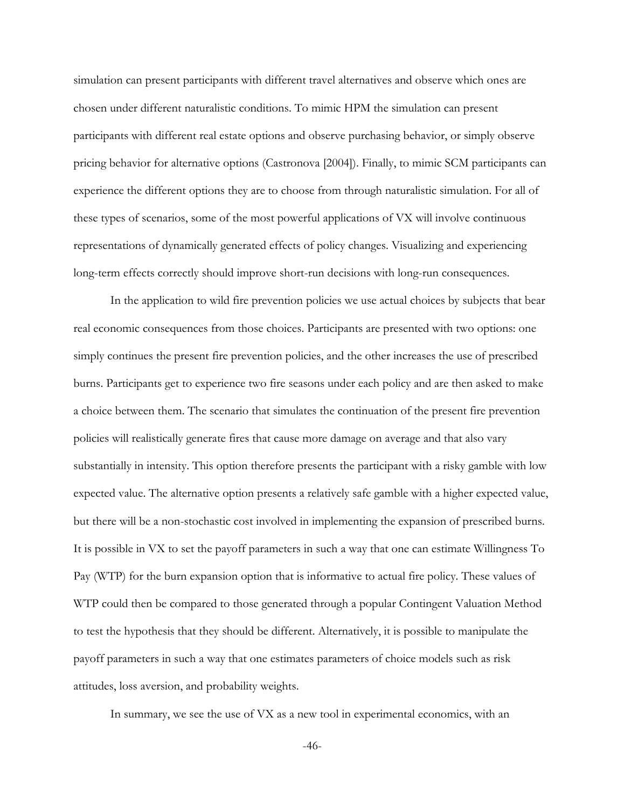simulation can present participants with different travel alternatives and observe which ones are chosen under different naturalistic conditions. To mimic HPM the simulation can present participants with different real estate options and observe purchasing behavior, or simply observe pricing behavior for alternative options (Castronova [2004]). Finally, to mimic SCM participants can experience the different options they are to choose from through naturalistic simulation. For all of these types of scenarios, some of the most powerful applications of VX will involve continuous representations of dynamically generated effects of policy changes. Visualizing and experiencing long-term effects correctly should improve short-run decisions with long-run consequences.

In the application to wild fire prevention policies we use actual choices by subjects that bear real economic consequences from those choices. Participants are presented with two options: one simply continues the present fire prevention policies, and the other increases the use of prescribed burns. Participants get to experience two fire seasons under each policy and are then asked to make a choice between them. The scenario that simulates the continuation of the present fire prevention policies will realistically generate fires that cause more damage on average and that also vary substantially in intensity. This option therefore presents the participant with a risky gamble with low expected value. The alternative option presents a relatively safe gamble with a higher expected value, but there will be a non-stochastic cost involved in implementing the expansion of prescribed burns. It is possible in VX to set the payoff parameters in such a way that one can estimate Willingness To Pay (WTP) for the burn expansion option that is informative to actual fire policy. These values of WTP could then be compared to those generated through a popular Contingent Valuation Method to test the hypothesis that they should be different. Alternatively, it is possible to manipulate the payoff parameters in such a way that one estimates parameters of choice models such as risk attitudes, loss aversion, and probability weights.

In summary, we see the use of VX as a new tool in experimental economics, with an

-46-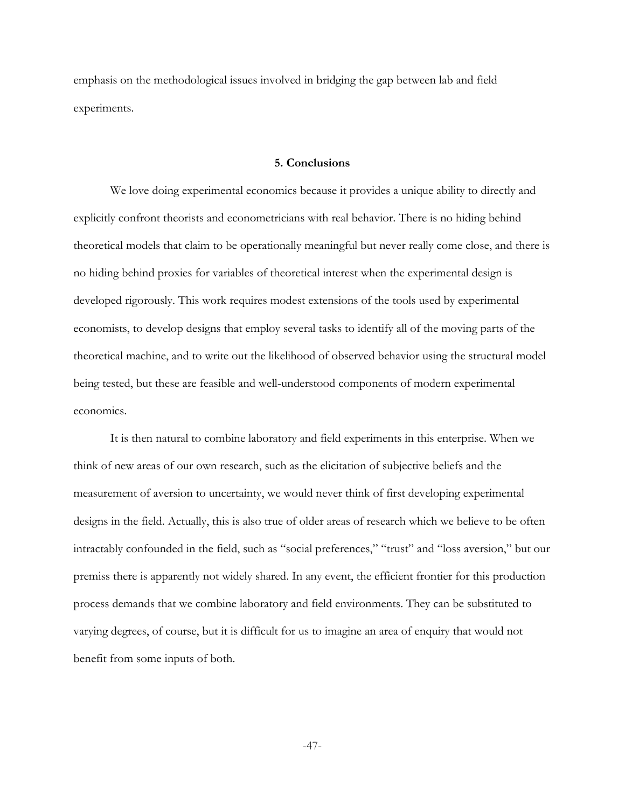emphasis on the methodological issues involved in bridging the gap between lab and field experiments.

### **5. Conclusions**

We love doing experimental economics because it provides a unique ability to directly and explicitly confront theorists and econometricians with real behavior. There is no hiding behind theoretical models that claim to be operationally meaningful but never really come close, and there is no hiding behind proxies for variables of theoretical interest when the experimental design is developed rigorously. This work requires modest extensions of the tools used by experimental economists, to develop designs that employ several tasks to identify all of the moving parts of the theoretical machine, and to write out the likelihood of observed behavior using the structural model being tested, but these are feasible and well-understood components of modern experimental economics.

It is then natural to combine laboratory and field experiments in this enterprise. When we think of new areas of our own research, such as the elicitation of subjective beliefs and the measurement of aversion to uncertainty, we would never think of first developing experimental designs in the field. Actually, this is also true of older areas of research which we believe to be often intractably confounded in the field, such as "social preferences," "trust" and "loss aversion," but our premiss there is apparently not widely shared. In any event, the efficient frontier for this production process demands that we combine laboratory and field environments. They can be substituted to varying degrees, of course, but it is difficult for us to imagine an area of enquiry that would not benefit from some inputs of both.

-47-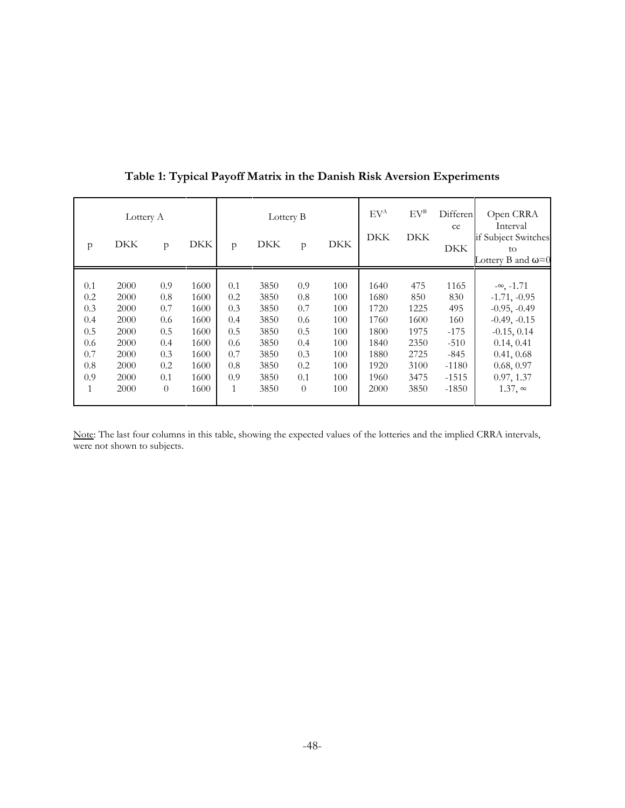|                                                                  | Lottery A                                                                                                                                               |                                                                              |                                                                  |                                                                              | Lottery B                                                               |                                                                    |                                                                              |                                                                            | Differen<br>ce                                                                           | Open CRRA<br>Interval                                                                                                                                               |
|------------------------------------------------------------------|---------------------------------------------------------------------------------------------------------------------------------------------------------|------------------------------------------------------------------------------|------------------------------------------------------------------|------------------------------------------------------------------------------|-------------------------------------------------------------------------|--------------------------------------------------------------------|------------------------------------------------------------------------------|----------------------------------------------------------------------------|------------------------------------------------------------------------------------------|---------------------------------------------------------------------------------------------------------------------------------------------------------------------|
| p                                                                | DKK<br>$\mathsf{p}$                                                                                                                                     | <b>DKK</b>                                                                   | p                                                                | <b>DKK</b>                                                                   | p                                                                       | <b>DKK</b>                                                         | <b>DKK</b>                                                                   | <b>DKK</b>                                                                 | <b>DKK</b>                                                                               | if Subject Switches<br>to<br>Lottery B and $\omega=0$                                                                                                               |
| 0.1<br>0.2<br>0.3<br>0.4<br>0.5<br>0.6<br>0.7<br>0.8<br>0.9<br>1 | 0.9<br>2000<br>0.8<br>2000<br>0.7<br>2000<br>2000<br>0.6<br>0.5<br>2000<br>2000<br>0.4<br>0.3<br>2000<br>0.2<br>2000<br>2000<br>0.1<br>$\theta$<br>2000 | 1600<br>1600<br>1600<br>1600<br>1600<br>1600<br>1600<br>1600<br>1600<br>1600 | 0.1<br>0.2<br>0.3<br>0.4<br>0.5<br>0.6<br>0.7<br>0.8<br>0.9<br>1 | 3850<br>3850<br>3850<br>3850<br>3850<br>3850<br>3850<br>3850<br>3850<br>3850 | 0.9<br>0.8<br>0.7<br>0.6<br>0.5<br>0.4<br>0.3<br>0.2<br>0.1<br>$\theta$ | 100<br>100<br>100<br>100<br>100<br>100<br>100<br>100<br>100<br>100 | 1640<br>1680<br>1720<br>1760<br>1800<br>1840<br>1880<br>1920<br>1960<br>2000 | 475<br>850<br>1225<br>1600<br>1975<br>2350<br>2725<br>3100<br>3475<br>3850 | 1165<br>830<br>495<br>160<br>$-175$<br>$-510$<br>$-845$<br>$-1180$<br>$-1515$<br>$-1850$ | $-\infty$ , $-1.71$<br>$-1.71, -0.95$<br>$-0.95, -0.49$<br>$-0.49, -0.15$<br>$-0.15, 0.14$<br>0.14, 0.41<br>0.41, 0.68<br>0.68, 0.97<br>0.97, 1.37<br>$1.37 \times$ |

**Table 1: Typical Payoff Matrix in the Danish Risk Aversion Experiments**

Note: The last four columns in this table, showing the expected values of the lotteries and the implied CRRA intervals, were not shown to subjects.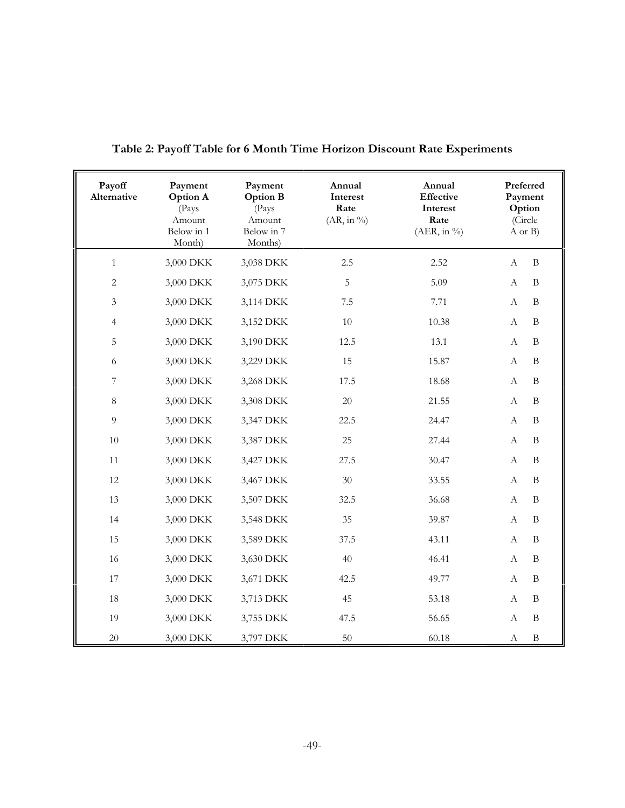| Payoff<br>Alternative    | Payment<br><b>Option A</b><br>(Pays<br>Amount<br>Below in 1<br>Month) | Payment<br><b>Option B</b><br>(Pays<br>Amount<br>Below in 7<br>Months) | Annual<br>Interest<br>Rate<br>$(AR, in \%)$ | Annual<br>Effective<br>Interest<br>Rate<br>$(AER, in \%)$ | Preferred<br>Payment<br>Option<br>(Circle<br>A or B) |
|--------------------------|-----------------------------------------------------------------------|------------------------------------------------------------------------|---------------------------------------------|-----------------------------------------------------------|------------------------------------------------------|
| $\mathbf{1}$             | 3,000 DKK                                                             | 3,038 DKK                                                              | 2.5                                         | 2.52                                                      | $\, {\bf B}$<br>A                                    |
| $\overline{2}$           | 3,000 DKK                                                             | 3,075 DKK                                                              | 5                                           | 5.09                                                      | $\, {\bf B}$<br>А                                    |
| $\mathfrak z$            | 3,000 DKK                                                             | 3,114 DKK                                                              | 7.5                                         | 7.71                                                      | $\bf{B}$<br>A                                        |
| $\overline{4}$           | 3,000 DKK                                                             | 3,152 DKK                                                              | $10\,$                                      | 10.38                                                     | $\, {\bf B}$<br>А                                    |
| 5                        | 3,000 DKK                                                             | 3,190 DKK                                                              | 12.5                                        | 13.1                                                      | $\bf{B}$<br>А                                        |
| 6                        | 3,000 DKK                                                             | 3,229 DKK                                                              | 15                                          | 15.87                                                     | $\bf{B}$<br>А                                        |
| $\overline{\mathcal{I}}$ | 3,000 DKK                                                             | 3,268 DKK                                                              | 17.5                                        | 18.68                                                     | B<br>A                                               |
| $\,8\,$                  | 3,000 DKK                                                             | 3,308 DKK                                                              | 20                                          | 21.55                                                     | $\, {\bf B}$<br>A                                    |
| 9                        | 3,000 DKK                                                             | 3,347 DKK                                                              | 22.5                                        | 24.47                                                     | $\, {\bf B}$<br>A                                    |
| 10                       | 3,000 DKK                                                             | 3,387 DKK                                                              | 25                                          | 27.44                                                     | $\bf{B}$<br>A                                        |
| $11\,$                   | 3,000 DKK                                                             | 3,427 DKK                                                              | 27.5                                        | 30.47                                                     | $\bf{B}$<br>A                                        |
| 12                       | 3,000 DKK                                                             | 3,467 DKK                                                              | 30                                          | 33.55                                                     | $\, {\bf B}$<br>А                                    |
| 13                       | 3,000 DKK                                                             | 3,507 DKK                                                              | 32.5                                        | 36.68                                                     | $\, {\bf B}$<br>$\boldsymbol{A}$                     |
| 14                       | 3,000 DKK                                                             | 3,548 DKK                                                              | 35                                          | 39.87                                                     | $\, {\bf B}$<br>А                                    |
| 15                       | 3,000 DKK                                                             | 3,589 DKK                                                              | 37.5                                        | 43.11                                                     | $\, {\bf B}$<br>$\boldsymbol{A}$                     |
| 16                       | 3,000 DKK                                                             | 3,630 DKK                                                              | 40                                          | 46.41                                                     | $\, {\bf B}$<br>А                                    |
| 17                       | 3,000 DKK                                                             | 3,671 DKK                                                              | 42.5                                        | 49.77                                                     | B<br>A                                               |
| 18                       | 3,000 DKK                                                             | 3,713 DKK                                                              | 45                                          | 53.18                                                     | $\bf{B}$<br>А                                        |
| 19                       | 3,000 DKK                                                             | 3,755 DKK                                                              | 47.5                                        | 56.65                                                     | $\, {\bf B}$<br>А                                    |
| $20\,$                   | 3,000 DKK                                                             | 3,797 DKK                                                              | 50                                          | 60.18                                                     | $\, {\bf B}$<br>А                                    |

**Table 2: Payoff Table for 6 Month Time Horizon Discount Rate Experiments**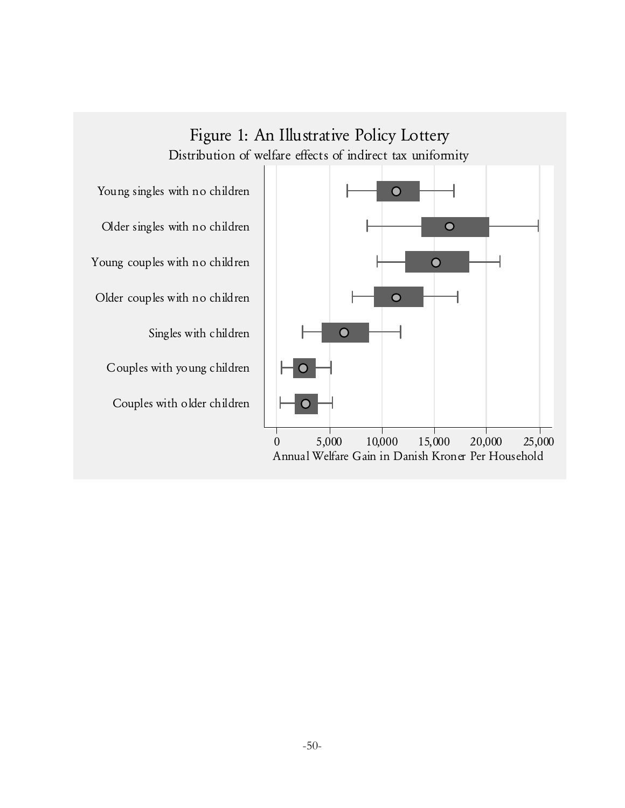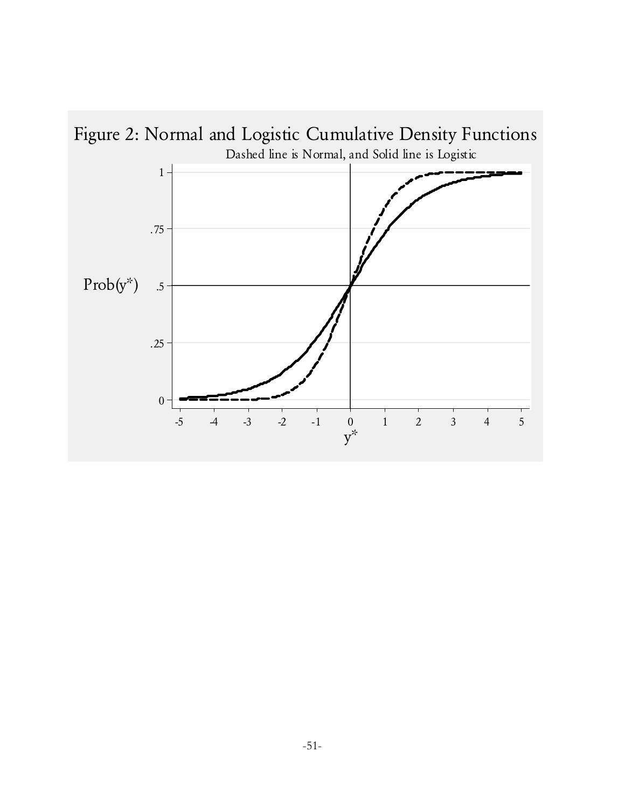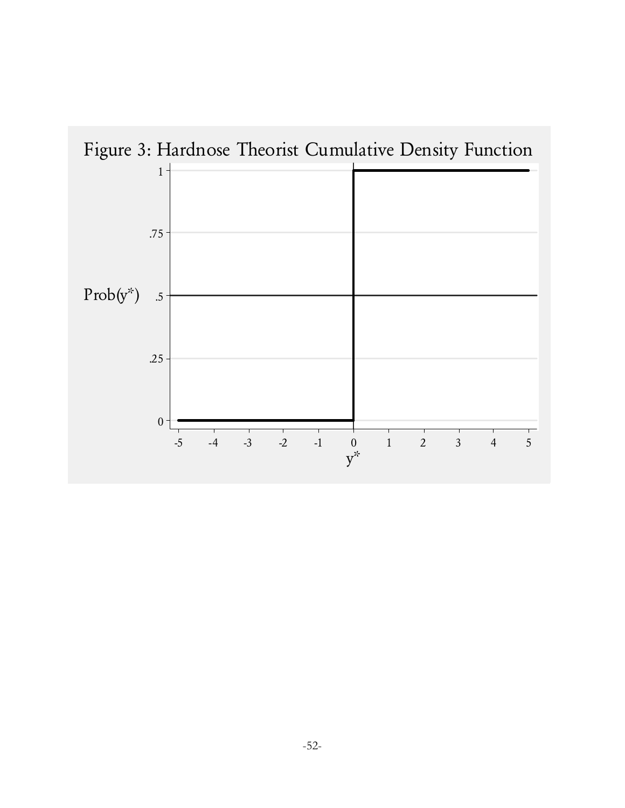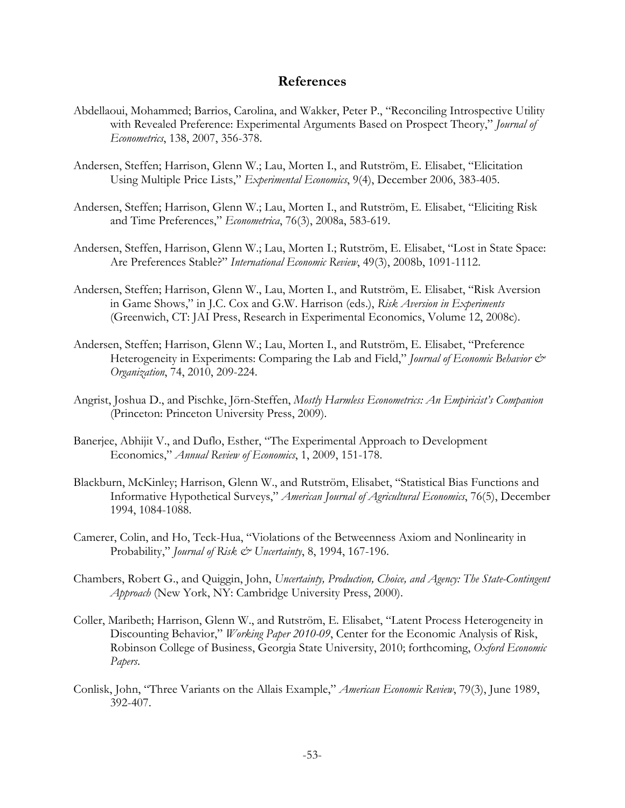# **References**

- Abdellaoui, Mohammed; Barrios, Carolina, and Wakker, Peter P., "Reconciling Introspective Utility with Revealed Preference: Experimental Arguments Based on Prospect Theory," *Journal of Econometrics*, 138, 2007, 356-378.
- Andersen, Steffen; Harrison, Glenn W.; Lau, Morten I., and Rutström, E. Elisabet, "Elicitation Using Multiple Price Lists," *Experimental Economics*, 9(4), December 2006, 383-405.
- Andersen, Steffen; Harrison, Glenn W.; Lau, Morten I., and Rutström, E. Elisabet, "Eliciting Risk and Time Preferences," *Econometrica*, 76(3), 2008a, 583-619.
- Andersen, Steffen, Harrison, Glenn W.; Lau, Morten I.; Rutström, E. Elisabet, "Lost in State Space: Are Preferences Stable?" *International Economic Review*, 49(3), 2008b, 1091-1112.
- Andersen, Steffen; Harrison, Glenn W., Lau, Morten I., and Rutström, E. Elisabet, "Risk Aversion in Game Shows," in J.C. Cox and G.W. Harrison (eds.), *Risk Aversion in Experiments* (Greenwich, CT: JAI Press, Research in Experimental Economics, Volume 12, 2008c).
- Andersen, Steffen; Harrison, Glenn W.; Lau, Morten I., and Rutström, E. Elisabet, "Preference Heterogeneity in Experiments: Comparing the Lab and Field," *Journal of Economic Behavior & Organization*, 74, 2010, 209-224.
- Angrist, Joshua D., and Pischke, Jörn-Steffen, *Mostly Harmless Econometrics: An Empiricist's Companion* (Princeton: Princeton University Press, 2009).
- Banerjee, Abhijit V., and Duflo, Esther, "The Experimental Approach to Development Economics," *Annual Review of Economics*, 1, 2009, 151-178.
- Blackburn, McKinley; Harrison, Glenn W., and Rutström, Elisabet, "Statistical Bias Functions and Informative Hypothetical Surveys," *American Journal of Agricultural Economics*, 76(5), December 1994, 1084-1088.
- Camerer, Colin, and Ho, Teck-Hua, "Violations of the Betweenness Axiom and Nonlinearity in Probability," *Journal of Risk & Uncertainty*, 8, 1994, 167-196.
- Chambers, Robert G., and Quiggin, John, *Uncertainty, Production, Choice, and Agency: The State-Contingent Approach* (New York, NY: Cambridge University Press, 2000).
- Coller, Maribeth; Harrison, Glenn W., and Rutström, E. Elisabet, "Latent Process Heterogeneity in Discounting Behavior," *Working Paper 2010-09*, Center for the Economic Analysis of Risk, Robinson College of Business, Georgia State University, 2010; forthcoming, *Oxford Economic Papers*.
- Conlisk, John, "Three Variants on the Allais Example," *American Economic Review*, 79(3), June 1989, 392-407.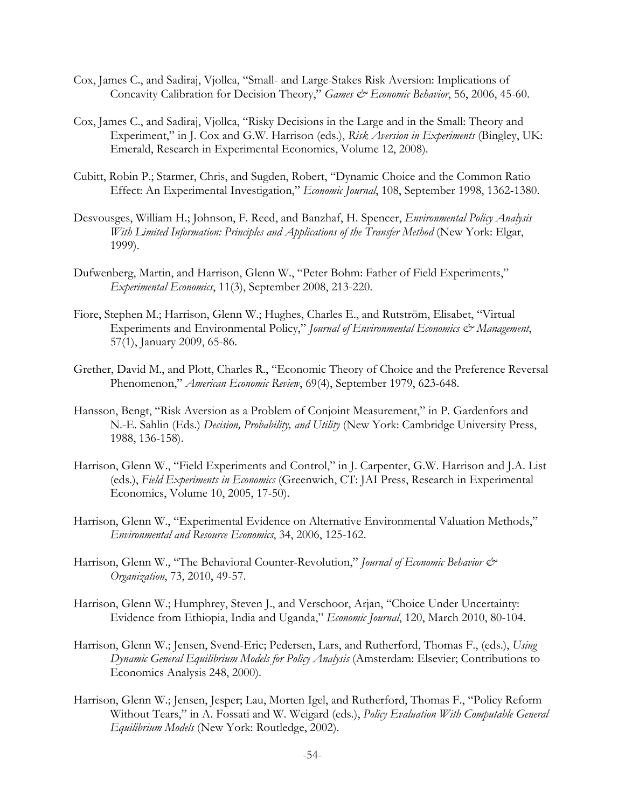- Cox, James C., and Sadiraj, Vjollca, "Small- and Large-Stakes Risk Aversion: Implications of Concavity Calibration for Decision Theory," *Games & Economic Behavior*, 56, 2006, 45-60.
- Cox, James C., and Sadiraj, Vjollca, "Risky Decisions in the Large and in the Small: Theory and Experiment," in J. Cox and G.W. Harrison (eds.), *Risk Aversion in Experiments* (Bingley, UK: Emerald, Research in Experimental Economics, Volume 12, 2008).
- Cubitt, Robin P.; Starmer, Chris, and Sugden, Robert, "Dynamic Choice and the Common Ratio Effect: An Experimental Investigation," *Economic Journal*, 108, September 1998, 1362-1380.
- Desvousges, William H.; Johnson, F. Reed, and Banzhaf, H. Spencer, *Environmental Policy Analysis With Limited Information: Principles and Applications of the Transfer Method* (New York: Elgar, 1999).
- Dufwenberg, Martin, and Harrison, Glenn W., "Peter Bohm: Father of Field Experiments," *Experimental Economics*, 11(3), September 2008, 213-220.
- Fiore, Stephen M.; Harrison, Glenn W.; Hughes, Charles E., and Rutström, Elisabet, "Virtual Experiments and Environmental Policy," *Journal of Environmental Economics & Management*, 57(1), January 2009, 65-86.
- Grether, David M., and Plott, Charles R., "Economic Theory of Choice and the Preference Reversal Phenomenon," *American Economic Review*, 69(4), September 1979, 623-648.
- Hansson, Bengt, "Risk Aversion as a Problem of Conjoint Measurement," in P. Gardenfors and N.-E. Sahlin (Eds.) *Decision, Probability, and Utility* (New York: Cambridge University Press, 1988, 136-158).
- Harrison, Glenn W., "Field Experiments and Control," in J. Carpenter, G.W. Harrison and J.A. List (eds.), *Field Experiments in Economics* (Greenwich, CT: JAI Press, Research in Experimental Economics, Volume 10, 2005, 17-50).
- Harrison, Glenn W., "Experimental Evidence on Alternative Environmental Valuation Methods," *Environmental and Resource Economics*, 34, 2006, 125-162.
- Harrison, Glenn W., "The Behavioral Counter-Revolution," *Journal of Economic Behavior & Organization*, 73, 2010, 49-57.
- Harrison, Glenn W.; Humphrey, Steven J., and Verschoor, Arjan, "Choice Under Uncertainty: Evidence from Ethiopia, India and Uganda," *Economic Journal*, 120, March 2010, 80-104.
- Harrison, Glenn W.; Jensen, Svend-Eric; Pedersen, Lars, and Rutherford, Thomas F., (eds.), *Using Dynamic General Equilibrium Models for Policy Analysis* (Amsterdam: Elsevier; Contributions to Economics Analysis 248, 2000).
- Harrison, Glenn W.; Jensen, Jesper; Lau, Morten Igel, and Rutherford, Thomas F., "Policy Reform Without Tears," in A. Fossati and W. Weigard (eds.), *Policy Evaluation With Computable General Equilibrium Models* (New York: Routledge, 2002).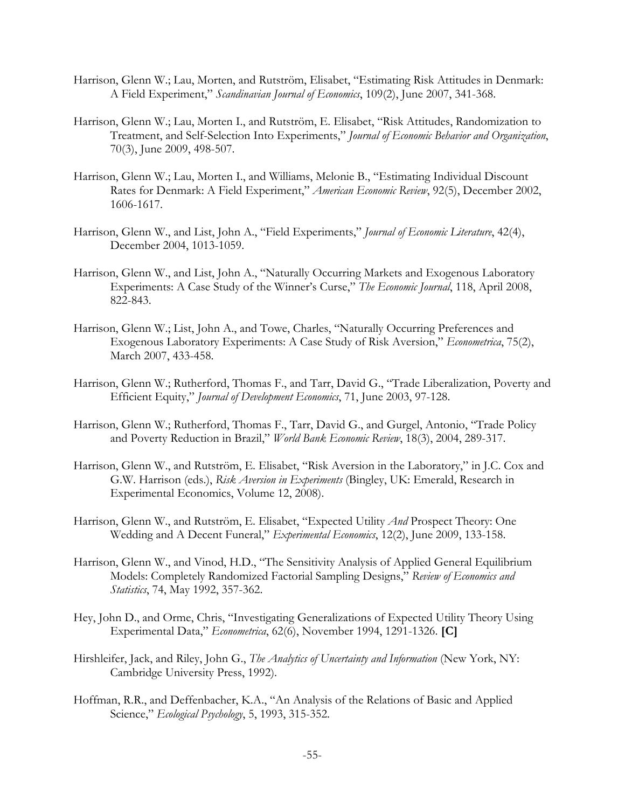- Harrison, Glenn W.; Lau, Morten, and Rutström, Elisabet, "Estimating Risk Attitudes in Denmark: A Field Experiment," *Scandinavian Journal of Economics*, 109(2), June 2007, 341-368.
- Harrison, Glenn W.; Lau, Morten I., and Rutström, E. Elisabet, "Risk Attitudes, Randomization to Treatment, and Self-Selection Into Experiments," *Journal of Economic Behavior and Organization*, 70(3), June 2009, 498-507.
- Harrison, Glenn W.; Lau, Morten I., and Williams, Melonie B., "Estimating Individual Discount Rates for Denmark: A Field Experiment," *American Economic Review*, 92(5), December 2002, 1606-1617.
- Harrison, Glenn W., and List, John A., "Field Experiments," *Journal of Economic Literature*, 42(4), December 2004, 1013-1059.
- Harrison, Glenn W., and List, John A., "Naturally Occurring Markets and Exogenous Laboratory Experiments: A Case Study of the Winner's Curse," *The Economic Journal*, 118, April 2008, 822-843.
- Harrison, Glenn W.; List, John A., and Towe, Charles, "Naturally Occurring Preferences and Exogenous Laboratory Experiments: A Case Study of Risk Aversion," *Econometrica*, 75(2), March 2007, 433-458.
- Harrison, Glenn W.; Rutherford, Thomas F., and Tarr, David G., "Trade Liberalization, Poverty and Efficient Equity," *Journal of Development Economics*, 71, June 2003, 97-128.
- Harrison, Glenn W.; Rutherford, Thomas F., Tarr, David G., and Gurgel, Antonio, "Trade Policy and Poverty Reduction in Brazil," *World Bank Economic Review*, 18(3), 2004, 289-317.
- Harrison, Glenn W., and Rutström, E. Elisabet, "Risk Aversion in the Laboratory," in J.C. Cox and G.W. Harrison (eds.), *Risk Aversion in Experiments* (Bingley, UK: Emerald, Research in Experimental Economics, Volume 12, 2008).
- Harrison, Glenn W., and Rutström, E. Elisabet, "Expected Utility *And* Prospect Theory: One Wedding and A Decent Funeral," *Experimental Economics*, 12(2), June 2009, 133-158.
- Harrison, Glenn W., and Vinod, H.D., "The Sensitivity Analysis of Applied General Equilibrium Models: Completely Randomized Factorial Sampling Designs," *Review of Economics and Statistics*, 74, May 1992, 357-362.
- Hey, John D., and Orme, Chris, "Investigating Generalizations of Expected Utility Theory Using Experimental Data," *Econometrica*, 62(6), November 1994, 1291-1326. **[C]**
- Hirshleifer, Jack, and Riley, John G., *The Analytics of Uncertainty and Information* (New York, NY: Cambridge University Press, 1992).
- Hoffman, R.R., and Deffenbacher, K.A., "An Analysis of the Relations of Basic and Applied Science," *Ecological Psychology*, 5, 1993, 315-352.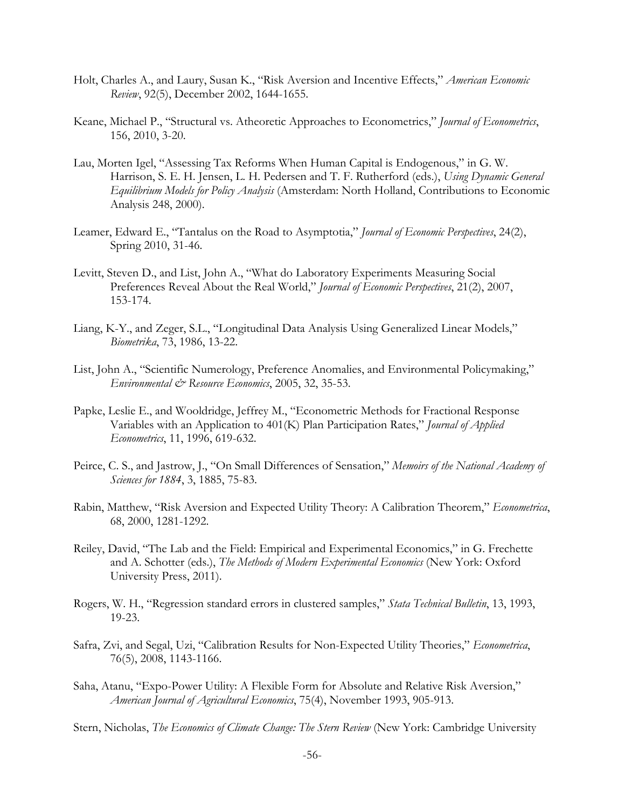- Holt, Charles A., and Laury, Susan K., "Risk Aversion and Incentive Effects," *American Economic Review*, 92(5), December 2002, 1644-1655.
- Keane, Michael P., "Structural vs. Atheoretic Approaches to Econometrics," *Journal of Econometrics*, 156, 2010, 3-20.
- Lau, Morten Igel, "Assessing Tax Reforms When Human Capital is Endogenous," in G. W. Harrison, S. E. H. Jensen, L. H. Pedersen and T. F. Rutherford (eds.), *Using Dynamic General Equilibrium Models for Policy Analysis* (Amsterdam: North Holland, Contributions to Economic Analysis 248, 2000).
- Leamer, Edward E., "Tantalus on the Road to Asymptotia," *Journal of Economic Perspectives*, 24(2), Spring 2010, 31-46.
- Levitt, Steven D., and List, John A., "What do Laboratory Experiments Measuring Social Preferences Reveal About the Real World," *Journal of Economic Perspectives*, 21(2), 2007, 153-174.
- Liang, K-Y., and Zeger, S.L., "Longitudinal Data Analysis Using Generalized Linear Models," *Biometrika*, 73, 1986, 13-22.
- List, John A., "Scientific Numerology, Preference Anomalies, and Environmental Policymaking," *Environmental & Resource Economics*, 2005, 32, 35-53.
- Papke, Leslie E., and Wooldridge, Jeffrey M., "Econometric Methods for Fractional Response Variables with an Application to 401(K) Plan Participation Rates," *Journal of Applied Econometrics*, 11, 1996, 619-632.
- Peirce, C. S., and Jastrow, J., "On Small Differences of Sensation," *Memoirs of the National Academy of Sciences for 1884*, 3, 1885, 75-83.
- Rabin, Matthew, "Risk Aversion and Expected Utility Theory: A Calibration Theorem," *Econometrica*, 68, 2000, 1281-1292.
- Reiley, David, "The Lab and the Field: Empirical and Experimental Economics," in G. Frechette and A. Schotter (eds.), *The Methods of Modern Experimental Economics* (New York: Oxford University Press, 2011).
- Rogers, W. H., "Regression standard errors in clustered samples," *Stata Technical Bulletin*, 13, 1993, 19-23.
- Safra, Zvi, and Segal, Uzi, "Calibration Results for Non-Expected Utility Theories," *Econometrica*, 76(5), 2008, 1143-1166.
- Saha, Atanu, "Expo-Power Utility: A Flexible Form for Absolute and Relative Risk Aversion," *American Journal of Agricultural Economics*, 75(4), November 1993, 905-913.
- Stern, Nicholas, *The Economics of Climate Change: The Stern Review* (New York: Cambridge University